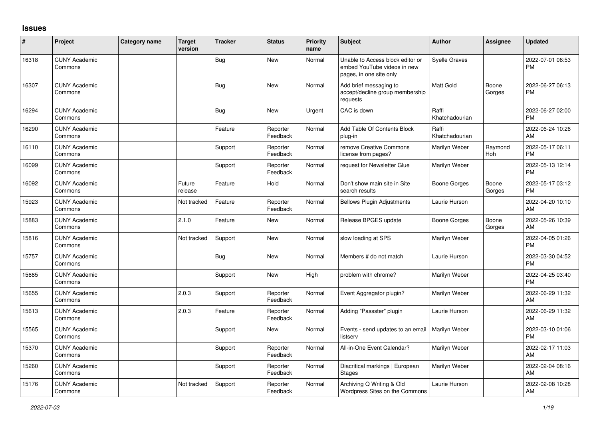## **Issues**

| #     | Project                         | <b>Category name</b> | <b>Target</b><br>version | <b>Tracker</b> | <b>Status</b>        | <b>Priority</b><br>name | <b>Subject</b>                                                                             | <b>Author</b>           | Assignee        | <b>Updated</b>                |
|-------|---------------------------------|----------------------|--------------------------|----------------|----------------------|-------------------------|--------------------------------------------------------------------------------------------|-------------------------|-----------------|-------------------------------|
| 16318 | <b>CUNY Academic</b><br>Commons |                      |                          | Bug            | <b>New</b>           | Normal                  | Unable to Access block editor or<br>embed YouTube videos in new<br>pages, in one site only | <b>Syelle Graves</b>    |                 | 2022-07-01 06:53<br><b>PM</b> |
| 16307 | <b>CUNY Academic</b><br>Commons |                      |                          | Bug            | <b>New</b>           | Normal                  | Add brief messaging to<br>accept/decline group membership<br>requests                      | Matt Gold               | Boone<br>Gorges | 2022-06-27 06:13<br><b>PM</b> |
| 16294 | <b>CUNY Academic</b><br>Commons |                      |                          | <b>Bug</b>     | <b>New</b>           | Urgent                  | CAC is down                                                                                | Raffi<br>Khatchadourian |                 | 2022-06-27 02:00<br><b>PM</b> |
| 16290 | <b>CUNY Academic</b><br>Commons |                      |                          | Feature        | Reporter<br>Feedback | Normal                  | Add Table Of Contents Block<br>plug-in                                                     | Raffi<br>Khatchadourian |                 | 2022-06-24 10:26<br>AM        |
| 16110 | <b>CUNY Academic</b><br>Commons |                      |                          | Support        | Reporter<br>Feedback | Normal                  | remove Creative Commons<br>license from pages?                                             | Marilyn Weber           | Raymond<br>Hoh  | 2022-05-17 06:11<br><b>PM</b> |
| 16099 | <b>CUNY Academic</b><br>Commons |                      |                          | Support        | Reporter<br>Feedback | Normal                  | request for Newsletter Glue                                                                | Marilyn Weber           |                 | 2022-05-13 12:14<br><b>PM</b> |
| 16092 | <b>CUNY Academic</b><br>Commons |                      | Future<br>release        | Feature        | Hold                 | Normal                  | Don't show main site in Site<br>search results                                             | Boone Gorges            | Boone<br>Gorges | 2022-05-17 03:12<br><b>PM</b> |
| 15923 | <b>CUNY Academic</b><br>Commons |                      | Not tracked              | Feature        | Reporter<br>Feedback | Normal                  | <b>Bellows Plugin Adjustments</b>                                                          | Laurie Hurson           |                 | 2022-04-20 10:10<br>AM        |
| 15883 | <b>CUNY Academic</b><br>Commons |                      | 2.1.0                    | Feature        | <b>New</b>           | Normal                  | Release BPGES update                                                                       | Boone Gorges            | Boone<br>Gorges | 2022-05-26 10:39<br>AM        |
| 15816 | <b>CUNY Academic</b><br>Commons |                      | Not tracked              | Support        | <b>New</b>           | Normal                  | slow loading at SPS                                                                        | Marilyn Weber           |                 | 2022-04-05 01:26<br><b>PM</b> |
| 15757 | <b>CUNY Academic</b><br>Commons |                      |                          | <b>Bug</b>     | <b>New</b>           | Normal                  | Members # do not match                                                                     | Laurie Hurson           |                 | 2022-03-30 04:52<br><b>PM</b> |
| 15685 | <b>CUNY Academic</b><br>Commons |                      |                          | Support        | <b>New</b>           | High                    | problem with chrome?                                                                       | Marilyn Weber           |                 | 2022-04-25 03:40<br><b>PM</b> |
| 15655 | <b>CUNY Academic</b><br>Commons |                      | 2.0.3                    | Support        | Reporter<br>Feedback | Normal                  | Event Aggregator plugin?                                                                   | Marilyn Weber           |                 | 2022-06-29 11:32<br>AM        |
| 15613 | <b>CUNY Academic</b><br>Commons |                      | 2.0.3                    | Feature        | Reporter<br>Feedback | Normal                  | Adding "Passster" plugin                                                                   | Laurie Hurson           |                 | 2022-06-29 11:32<br>AM        |
| 15565 | <b>CUNY Academic</b><br>Commons |                      |                          | Support        | <b>New</b>           | Normal                  | Events - send updates to an email<br>listserv                                              | Marilyn Weber           |                 | 2022-03-10 01:06<br><b>PM</b> |
| 15370 | <b>CUNY Academic</b><br>Commons |                      |                          | Support        | Reporter<br>Feedback | Normal                  | All-in-One Event Calendar?                                                                 | Marilyn Weber           |                 | 2022-02-17 11:03<br>AM        |
| 15260 | <b>CUNY Academic</b><br>Commons |                      |                          | Support        | Reporter<br>Feedback | Normal                  | Diacritical markings   European<br><b>Stages</b>                                           | Marilyn Weber           |                 | 2022-02-04 08:16<br>AM        |
| 15176 | <b>CUNY Academic</b><br>Commons |                      | Not tracked              | Support        | Reporter<br>Feedback | Normal                  | Archiving Q Writing & Old<br>Wordpress Sites on the Commons                                | Laurie Hurson           |                 | 2022-02-08 10:28<br>AM        |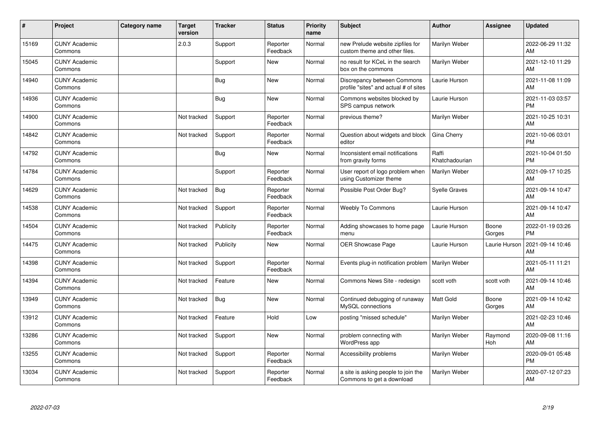| ∦     | Project                         | <b>Category name</b> | <b>Target</b><br>version | <b>Tracker</b> | <b>Status</b>        | <b>Priority</b><br>name | <b>Subject</b>                                                       | Author                  | Assignee        | <b>Updated</b>                |
|-------|---------------------------------|----------------------|--------------------------|----------------|----------------------|-------------------------|----------------------------------------------------------------------|-------------------------|-----------------|-------------------------------|
| 15169 | <b>CUNY Academic</b><br>Commons |                      | 2.0.3                    | Support        | Reporter<br>Feedback | Normal                  | new Prelude website zipfiles for<br>custom theme and other files.    | Marilyn Weber           |                 | 2022-06-29 11:32<br>AM        |
| 15045 | <b>CUNY Academic</b><br>Commons |                      |                          | Support        | <b>New</b>           | Normal                  | no result for KCeL in the search<br>box on the commons               | Marilyn Weber           |                 | 2021-12-10 11:29<br>AM        |
| 14940 | <b>CUNY Academic</b><br>Commons |                      |                          | Bug            | <b>New</b>           | Normal                  | Discrepancy between Commons<br>profile "sites" and actual # of sites | Laurie Hurson           |                 | 2021-11-08 11:09<br>AM        |
| 14936 | <b>CUNY Academic</b><br>Commons |                      |                          | <b>Bug</b>     | <b>New</b>           | Normal                  | Commons websites blocked by<br>SPS campus network                    | Laurie Hurson           |                 | 2021-11-03 03:57<br><b>PM</b> |
| 14900 | <b>CUNY Academic</b><br>Commons |                      | Not tracked              | Support        | Reporter<br>Feedback | Normal                  | previous theme?                                                      | Marilyn Weber           |                 | 2021-10-25 10:31<br>AM        |
| 14842 | <b>CUNY Academic</b><br>Commons |                      | Not tracked              | Support        | Reporter<br>Feedback | Normal                  | Question about widgets and block<br>editor                           | Gina Cherry             |                 | 2021-10-06 03:01<br><b>PM</b> |
| 14792 | <b>CUNY Academic</b><br>Commons |                      |                          | Bug            | <b>New</b>           | Normal                  | Inconsistent email notifications<br>from gravity forms               | Raffi<br>Khatchadourian |                 | 2021-10-04 01:50<br><b>PM</b> |
| 14784 | <b>CUNY Academic</b><br>Commons |                      |                          | Support        | Reporter<br>Feedback | Normal                  | User report of logo problem when<br>using Customizer theme           | Marilyn Weber           |                 | 2021-09-17 10:25<br>AM        |
| 14629 | <b>CUNY Academic</b><br>Commons |                      | Not tracked              | Bug            | Reporter<br>Feedback | Normal                  | Possible Post Order Bug?                                             | <b>Syelle Graves</b>    |                 | 2021-09-14 10:47<br>AM        |
| 14538 | <b>CUNY Academic</b><br>Commons |                      | Not tracked              | Support        | Reporter<br>Feedback | Normal                  | <b>Weebly To Commons</b>                                             | Laurie Hurson           |                 | 2021-09-14 10:47<br>AM        |
| 14504 | <b>CUNY Academic</b><br>Commons |                      | Not tracked              | Publicity      | Reporter<br>Feedback | Normal                  | Adding showcases to home page<br>menu                                | Laurie Hurson           | Boone<br>Gorges | 2022-01-19 03:26<br><b>PM</b> |
| 14475 | <b>CUNY Academic</b><br>Commons |                      | Not tracked              | Publicity      | <b>New</b>           | Normal                  | <b>OER Showcase Page</b>                                             | Laurie Hurson           | Laurie Hurson   | 2021-09-14 10:46<br>AM        |
| 14398 | <b>CUNY Academic</b><br>Commons |                      | Not tracked              | Support        | Reporter<br>Feedback | Normal                  | Events plug-in notification problem                                  | Marilyn Weber           |                 | 2021-05-11 11:21<br>AM        |
| 14394 | <b>CUNY Academic</b><br>Commons |                      | Not tracked              | Feature        | <b>New</b>           | Normal                  | Commons News Site - redesign                                         | scott voth              | scott voth      | 2021-09-14 10:46<br>AM        |
| 13949 | <b>CUNY Academic</b><br>Commons |                      | Not tracked              | <b>Bug</b>     | <b>New</b>           | Normal                  | Continued debugging of runaway<br>MySQL connections                  | <b>Matt Gold</b>        | Boone<br>Gorges | 2021-09-14 10:42<br>AM        |
| 13912 | <b>CUNY Academic</b><br>Commons |                      | Not tracked              | Feature        | Hold                 | Low                     | posting "missed schedule"                                            | Marilyn Weber           |                 | 2021-02-23 10:46<br>AM        |
| 13286 | <b>CUNY Academic</b><br>Commons |                      | Not tracked              | Support        | <b>New</b>           | Normal                  | problem connecting with<br>WordPress app                             | Marilyn Weber           | Raymond<br>Hoh  | 2020-09-08 11:16<br>AM        |
| 13255 | <b>CUNY Academic</b><br>Commons |                      | Not tracked              | Support        | Reporter<br>Feedback | Normal                  | Accessibility problems                                               | Marilyn Weber           |                 | 2020-09-01 05:48<br><b>PM</b> |
| 13034 | <b>CUNY Academic</b><br>Commons |                      | Not tracked              | Support        | Reporter<br>Feedback | Normal                  | a site is asking people to join the<br>Commons to get a download     | Marilyn Weber           |                 | 2020-07-12 07:23<br>AM        |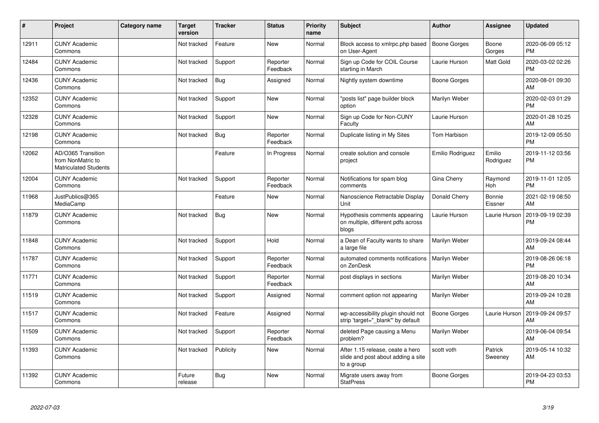| #     | Project                                                                 | <b>Category name</b> | Target<br>version | <b>Tracker</b> | <b>Status</b>        | <b>Priority</b><br>name | <b>Subject</b>                                                                       | Author              | <b>Assignee</b>     | <b>Updated</b>                |
|-------|-------------------------------------------------------------------------|----------------------|-------------------|----------------|----------------------|-------------------------|--------------------------------------------------------------------------------------|---------------------|---------------------|-------------------------------|
| 12911 | <b>CUNY Academic</b><br>Commons                                         |                      | Not tracked       | Feature        | <b>New</b>           | Normal                  | Block access to xmlrpc.php based<br>on User-Agent                                    | Boone Gorges        | Boone<br>Gorges     | 2020-06-09 05:12<br><b>PM</b> |
| 12484 | <b>CUNY Academic</b><br>Commons                                         |                      | Not tracked       | Support        | Reporter<br>Feedback | Normal                  | Sign up Code for COIL Course<br>starting in March                                    | Laurie Hurson       | Matt Gold           | 2020-03-02 02:26<br><b>PM</b> |
| 12436 | <b>CUNY Academic</b><br>Commons                                         |                      | Not tracked       | <b>Bug</b>     | Assigned             | Normal                  | Nightly system downtime                                                              | Boone Gorges        |                     | 2020-08-01 09:30<br>AM        |
| 12352 | <b>CUNY Academic</b><br>Commons                                         |                      | Not tracked       | Support        | <b>New</b>           | Normal                  | 'posts list" page builder block<br>option                                            | Marilyn Weber       |                     | 2020-02-03 01:29<br><b>PM</b> |
| 12328 | <b>CUNY Academic</b><br>Commons                                         |                      | Not tracked       | Support        | <b>New</b>           | Normal                  | Sign up Code for Non-CUNY<br>Faculty                                                 | Laurie Hurson       |                     | 2020-01-28 10:25<br>AM        |
| 12198 | <b>CUNY Academic</b><br>Commons                                         |                      | Not tracked       | Bug            | Reporter<br>Feedback | Normal                  | Duplicate listing in My Sites                                                        | Tom Harbison        |                     | 2019-12-09 05:50<br><b>PM</b> |
| 12062 | AD/O365 Transition<br>from NonMatric to<br><b>Matriculated Students</b> |                      |                   | Feature        | In Progress          | Normal                  | create solution and console<br>project                                               | Emilio Rodriguez    | Emilio<br>Rodriguez | 2019-11-12 03:56<br><b>PM</b> |
| 12004 | <b>CUNY Academic</b><br>Commons                                         |                      | Not tracked       | Support        | Reporter<br>Feedback | Normal                  | Notifications for spam blog<br>comments                                              | Gina Cherry         | Raymond<br>Hoh      | 2019-11-01 12:05<br><b>PM</b> |
| 11968 | JustPublics@365<br>MediaCamp                                            |                      |                   | Feature        | <b>New</b>           | Normal                  | Nanoscience Retractable Display<br>Unit                                              | Donald Cherry       | Bonnie<br>Eissner   | 2021-02-19 08:50<br>AM        |
| 11879 | <b>CUNY Academic</b><br>Commons                                         |                      | Not tracked       | <b>Bug</b>     | <b>New</b>           | Normal                  | Hypothesis comments appearing<br>on multiple, different pdfs across<br>blogs         | Laurie Hurson       | Laurie Hurson       | 2019-09-19 02:39<br><b>PM</b> |
| 11848 | <b>CUNY Academic</b><br>Commons                                         |                      | Not tracked       | Support        | Hold                 | Normal                  | a Dean of Faculty wants to share<br>a large file                                     | Marilyn Weber       |                     | 2019-09-24 08:44<br>AM        |
| 11787 | <b>CUNY Academic</b><br>Commons                                         |                      | Not tracked       | Support        | Reporter<br>Feedback | Normal                  | automated comments notifications<br>on ZenDesk                                       | Marilyn Weber       |                     | 2019-08-26 06:18<br><b>PM</b> |
| 11771 | <b>CUNY Academic</b><br>Commons                                         |                      | Not tracked       | Support        | Reporter<br>Feedback | Normal                  | post displays in sections                                                            | Marilyn Weber       |                     | 2019-08-20 10:34<br>AM        |
| 11519 | <b>CUNY Academic</b><br>Commons                                         |                      | Not tracked       | Support        | Assigned             | Normal                  | comment option not appearing                                                         | Marilyn Weber       |                     | 2019-09-24 10:28<br>AM        |
| 11517 | <b>CUNY Academic</b><br>Commons                                         |                      | Not tracked       | Feature        | Assigned             | Normal                  | wp-accessibility plugin should not<br>strip 'target=" blank" by default              | <b>Boone Gorges</b> | Laurie Hurson       | 2019-09-24 09:57<br>AM        |
| 11509 | <b>CUNY Academic</b><br>Commons                                         |                      | Not tracked       | Support        | Reporter<br>Feedback | Normal                  | deleted Page causing a Menu<br>problem?                                              | Marilyn Weber       |                     | 2019-06-04 09:54<br>AM        |
| 11393 | <b>CUNY Academic</b><br>Commons                                         |                      | Not tracked       | Publicity      | <b>New</b>           | Normal                  | After 1.15 release, ceate a hero<br>slide and post about adding a site<br>to a group | scott voth          | Patrick<br>Sweeney  | 2019-05-14 10:32<br>AM        |
| 11392 | <b>CUNY Academic</b><br>Commons                                         |                      | Future<br>release | <b>Bug</b>     | <b>New</b>           | Normal                  | Migrate users away from<br><b>StatPress</b>                                          | Boone Gorges        |                     | 2019-04-23 03:53<br><b>PM</b> |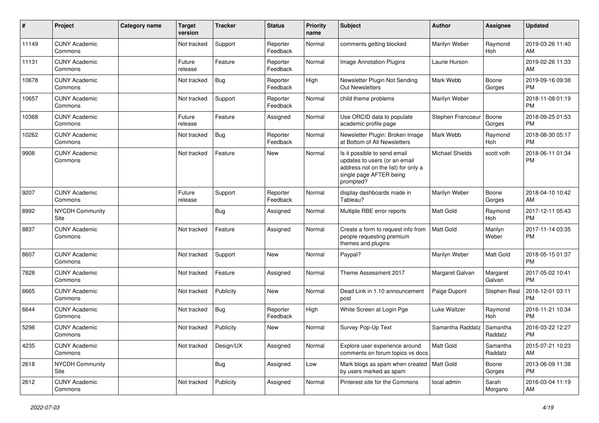| #     | Project                         | <b>Category name</b> | <b>Target</b><br>version | <b>Tracker</b> | <b>Status</b>        | <b>Priority</b><br>name | Subject                                                                                                                                      | <b>Author</b>          | <b>Assignee</b>     | <b>Updated</b>                |
|-------|---------------------------------|----------------------|--------------------------|----------------|----------------------|-------------------------|----------------------------------------------------------------------------------------------------------------------------------------------|------------------------|---------------------|-------------------------------|
| 11149 | <b>CUNY Academic</b><br>Commons |                      | Not tracked              | Support        | Reporter<br>Feedback | Normal                  | comments getting blocked                                                                                                                     | Marilyn Weber          | Raymond<br>Hoh      | 2019-03-26 11:40<br>AM        |
| 11131 | <b>CUNY Academic</b><br>Commons |                      | Future<br>release        | Feature        | Reporter<br>Feedback | Normal                  | <b>Image Annotation Plugins</b>                                                                                                              | Laurie Hurson          |                     | 2019-02-26 11:33<br>AM        |
| 10678 | <b>CUNY Academic</b><br>Commons |                      | Not tracked              | Bug            | Reporter<br>Feedback | High                    | Newsletter Plugin Not Sending<br><b>Out Newsletters</b>                                                                                      | Mark Webb              | Boone<br>Gorges     | 2019-09-16 09:38<br><b>PM</b> |
| 10657 | <b>CUNY Academic</b><br>Commons |                      | Not tracked              | Support        | Reporter<br>Feedback | Normal                  | child theme problems                                                                                                                         | Marilyn Weber          |                     | 2018-11-08 01:19<br><b>PM</b> |
| 10368 | <b>CUNY Academic</b><br>Commons |                      | Future<br>release        | Feature        | Assigned             | Normal                  | Use ORCID data to populate<br>academic profile page                                                                                          | Stephen Francoeur      | Boone<br>Gorges     | 2018-09-25 01:53<br><b>PM</b> |
| 10262 | <b>CUNY Academic</b><br>Commons |                      | Not tracked              | Bug            | Reporter<br>Feedback | Normal                  | Newsletter Plugin: Broken Image<br>at Bottom of All Newsletters                                                                              | Mark Webb              | Raymond<br>Hoh      | 2018-08-30 05:17<br><b>PM</b> |
| 9908  | <b>CUNY Academic</b><br>Commons |                      | Not tracked              | Feature        | New                  | Normal                  | Is it possible to send email<br>updates to users (or an email<br>address not on the list) for only a<br>single page AFTER being<br>prompted? | <b>Michael Shields</b> | scott voth          | 2018-06-11 01:34<br><b>PM</b> |
| 9207  | <b>CUNY Academic</b><br>Commons |                      | Future<br>release        | Support        | Reporter<br>Feedback | Normal                  | display dashboards made in<br>Tableau?                                                                                                       | Marilyn Weber          | Boone<br>Gorges     | 2018-04-10 10:42<br>AM        |
| 8992  | <b>NYCDH Community</b><br>Site  |                      |                          | <b>Bug</b>     | Assigned             | Normal                  | Multiple RBE error reports                                                                                                                   | <b>Matt Gold</b>       | Raymond<br>Hoh      | 2017-12-11 05:43<br><b>PM</b> |
| 8837  | <b>CUNY Academic</b><br>Commons |                      | Not tracked              | Feature        | Assigned             | Normal                  | Create a form to request info from<br>people requesting premium<br>themes and plugins                                                        | <b>Matt Gold</b>       | Marilyn<br>Weber    | 2017-11-14 03:35<br><b>PM</b> |
| 8607  | <b>CUNY Academic</b><br>Commons |                      | Not tracked              | Support        | <b>New</b>           | Normal                  | Paypal?                                                                                                                                      | Marilyn Weber          | Matt Gold           | 2018-05-15 01:37<br><b>PM</b> |
| 7828  | <b>CUNY Academic</b><br>Commons |                      | Not tracked              | Feature        | Assigned             | Normal                  | Theme Assessment 2017                                                                                                                        | Margaret Galvan        | Margaret<br>Galvan  | 2017-05-02 10:41<br><b>PM</b> |
| 6665  | <b>CUNY Academic</b><br>Commons |                      | Not tracked              | Publicity      | <b>New</b>           | Normal                  | Dead Link in 1.10 announcement<br>post                                                                                                       | Paige Dupont           | Stephen Real        | 2016-12-01 03:11<br><b>PM</b> |
| 6644  | <b>CUNY Academic</b><br>Commons |                      | Not tracked              | <b>Bug</b>     | Reporter<br>Feedback | High                    | White Screen at Login Pge                                                                                                                    | Luke Waltzer           | Raymond<br>Hoh      | 2016-11-21 10:34<br><b>PM</b> |
| 5298  | <b>CUNY Academic</b><br>Commons |                      | Not tracked              | Publicity      | New                  | Normal                  | Survey Pop-Up Text                                                                                                                           | Samantha Raddatz       | Samantha<br>Raddatz | 2016-03-22 12:27<br><b>PM</b> |
| 4235  | <b>CUNY Academic</b><br>Commons |                      | Not tracked              | Design/UX      | Assigned             | Normal                  | Explore user experience around<br>comments on forum topics vs docs                                                                           | Matt Gold              | Samantha<br>Raddatz | 2015-07-21 10:23<br>AM        |
| 2618  | NYCDH Community<br>Site         |                      |                          | <b>Bug</b>     | Assigned             | Low                     | Mark blogs as spam when created   Matt Gold<br>by users marked as spam                                                                       |                        | Boone<br>Gorges     | 2013-06-09 11:38<br><b>PM</b> |
| 2612  | <b>CUNY Academic</b><br>Commons |                      | Not tracked              | Publicity      | Assigned             | Normal                  | Pinterest site for the Commons                                                                                                               | local admin            | Sarah<br>Morgano    | 2016-03-04 11:19<br>AM        |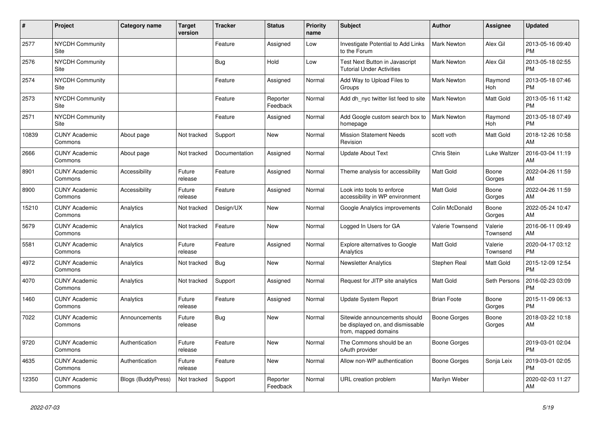| $\pmb{\sharp}$ | <b>Project</b>                  | Category name             | <b>Target</b><br>version | <b>Tracker</b> | <b>Status</b>        | <b>Priority</b><br>name | <b>Subject</b>                                                                            | <b>Author</b>       | Assignee            | <b>Updated</b>                |
|----------------|---------------------------------|---------------------------|--------------------------|----------------|----------------------|-------------------------|-------------------------------------------------------------------------------------------|---------------------|---------------------|-------------------------------|
| 2577           | <b>NYCDH Community</b><br>Site  |                           |                          | Feature        | Assigned             | Low                     | Investigate Potential to Add Links<br>to the Forum                                        | Mark Newton         | Alex Gil            | 2013-05-16 09:40<br><b>PM</b> |
| 2576           | <b>NYCDH Community</b><br>Site  |                           |                          | Bug            | Hold                 | Low                     | Test Next Button in Javascript<br><b>Tutorial Under Activities</b>                        | <b>Mark Newton</b>  | Alex Gil            | 2013-05-18 02:55<br><b>PM</b> |
| 2574           | <b>NYCDH Community</b><br>Site  |                           |                          | Feature        | Assigned             | Normal                  | Add Way to Upload Files to<br>Groups                                                      | Mark Newton         | Raymond<br>Hoh      | 2013-05-18 07:46<br><b>PM</b> |
| 2573           | <b>NYCDH Community</b><br>Site  |                           |                          | Feature        | Reporter<br>Feedback | Normal                  | Add dh nyc twitter list feed to site                                                      | <b>Mark Newton</b>  | Matt Gold           | 2013-05-16 11:42<br><b>PM</b> |
| 2571           | <b>NYCDH Community</b><br>Site  |                           |                          | Feature        | Assigned             | Normal                  | Add Google custom search box to<br>homepage                                               | <b>Mark Newton</b>  | Raymond<br>Hoh      | 2013-05-18 07:49<br><b>PM</b> |
| 10839          | <b>CUNY Academic</b><br>Commons | About page                | Not tracked              | Support        | New                  | Normal                  | <b>Mission Statement Needs</b><br>Revision                                                | scott voth          | Matt Gold           | 2018-12-26 10:58<br>AM        |
| 2666           | <b>CUNY Academic</b><br>Commons | About page                | Not tracked              | Documentation  | Assigned             | Normal                  | <b>Update About Text</b>                                                                  | Chris Stein         | Luke Waltzer        | 2016-03-04 11:19<br>AM        |
| 8901           | <b>CUNY Academic</b><br>Commons | Accessibility             | Future<br>release        | Feature        | Assigned             | Normal                  | Theme analysis for accessibility                                                          | <b>Matt Gold</b>    | Boone<br>Gorges     | 2022-04-26 11:59<br>AM        |
| 8900           | <b>CUNY Academic</b><br>Commons | Accessibility             | Future<br>release        | Feature        | Assigned             | Normal                  | Look into tools to enforce<br>accessibility in WP environment                             | <b>Matt Gold</b>    | Boone<br>Gorges     | 2022-04-26 11:59<br>AM        |
| 15210          | <b>CUNY Academic</b><br>Commons | Analytics                 | Not tracked              | Design/UX      | New                  | Normal                  | Google Analytics improvements                                                             | Colin McDonald      | Boone<br>Gorges     | 2022-05-24 10:47<br>AM        |
| 5679           | <b>CUNY Academic</b><br>Commons | Analytics                 | Not tracked              | Feature        | <b>New</b>           | Normal                  | Logged In Users for GA                                                                    | Valerie Townsend    | Valerie<br>Townsend | 2016-06-11 09:49<br>AM        |
| 5581           | <b>CUNY Academic</b><br>Commons | Analytics                 | Future<br>release        | Feature        | Assigned             | Normal                  | Explore alternatives to Google<br>Analytics                                               | <b>Matt Gold</b>    | Valerie<br>Townsend | 2020-04-17 03:12<br><b>PM</b> |
| 4972           | <b>CUNY Academic</b><br>Commons | Analytics                 | Not tracked              | Bug            | New                  | Normal                  | <b>Newsletter Analytics</b>                                                               | Stephen Real        | Matt Gold           | 2015-12-09 12:54<br><b>PM</b> |
| 4070           | <b>CUNY Academic</b><br>Commons | Analytics                 | Not tracked              | Support        | Assigned             | Normal                  | Request for JITP site analytics                                                           | <b>Matt Gold</b>    | Seth Persons        | 2016-02-23 03:09<br><b>PM</b> |
| 1460           | <b>CUNY Academic</b><br>Commons | Analytics                 | Future<br>release        | Feature        | Assigned             | Normal                  | <b>Update System Report</b>                                                               | <b>Brian Foote</b>  | Boone<br>Gorges     | 2015-11-09 06:13<br><b>PM</b> |
| 7022           | <b>CUNY Academic</b><br>Commons | Announcements             | Future<br>release        | Bug            | New                  | Normal                  | Sitewide announcements should<br>be displayed on, and dismissable<br>from, mapped domains | <b>Boone Gorges</b> | Boone<br>Gorges     | 2018-03-22 10:18<br>AM        |
| 9720           | <b>CUNY Academic</b><br>Commons | Authentication            | Future<br>release        | Feature        | <b>New</b>           | Normal                  | The Commons should be an<br>oAuth provider                                                | Boone Gorges        |                     | 2019-03-01 02:04<br><b>PM</b> |
| 4635           | <b>CUNY Academic</b><br>Commons | Authentication            | Future<br>release        | Feature        | New                  | Normal                  | Allow non-WP authentication                                                               | Boone Gorges        | Sonja Leix          | 2019-03-01 02:05<br><b>PM</b> |
| 12350          | <b>CUNY Academic</b><br>Commons | <b>Blogs (BuddyPress)</b> | Not tracked              | Support        | Reporter<br>Feedback | Normal                  | URL creation problem                                                                      | Marilyn Weber       |                     | 2020-02-03 11:27<br>AM        |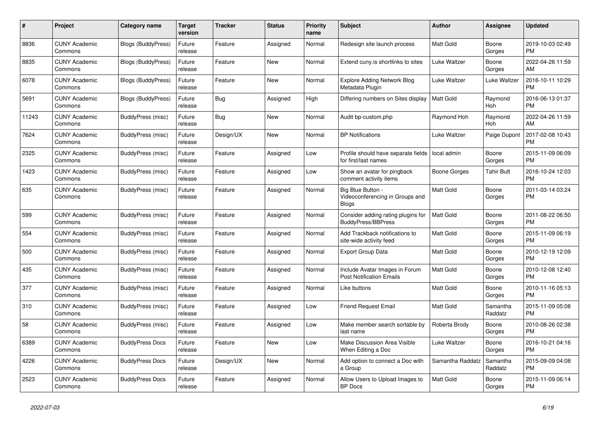| #     | Project                         | <b>Category name</b>      | <b>Target</b><br>version | <b>Tracker</b> | <b>Status</b> | Priority<br>name | <b>Subject</b>                                                       | <b>Author</b>    | <b>Assignee</b>     | <b>Updated</b>                |
|-------|---------------------------------|---------------------------|--------------------------|----------------|---------------|------------------|----------------------------------------------------------------------|------------------|---------------------|-------------------------------|
| 8836  | <b>CUNY Academic</b><br>Commons | <b>Blogs (BuddyPress)</b> | Future<br>release        | Feature        | Assigned      | Normal           | Redesign site launch process                                         | Matt Gold        | Boone<br>Gorges     | 2019-10-03 02:49<br><b>PM</b> |
| 8835  | <b>CUNY Academic</b><br>Commons | <b>Blogs (BuddyPress)</b> | Future<br>release        | Feature        | New           | Normal           | Extend cuny is shortlinks to sites                                   | Luke Waltzer     | Boone<br>Gorges     | 2022-04-26 11:59<br>AM        |
| 6078  | <b>CUNY Academic</b><br>Commons | <b>Blogs (BuddyPress)</b> | Future<br>release        | Feature        | <b>New</b>    | Normal           | Explore Adding Network Blog<br>Metadata Plugin                       | Luke Waltzer     | Luke Waltzer        | 2016-10-11 10:29<br><b>PM</b> |
| 5691  | <b>CUNY Academic</b><br>Commons | <b>Blogs (BuddyPress)</b> | Future<br>release        | Bug            | Assigned      | High             | Differing numbers on Sites display                                   | <b>Matt Gold</b> | Raymond<br>Hoh      | 2016-06-13 01:37<br><b>PM</b> |
| 11243 | <b>CUNY Academic</b><br>Commons | BuddyPress (misc)         | Future<br>release        | Bug            | <b>New</b>    | Normal           | Audit bp-custom.php                                                  | Raymond Hoh      | Raymond<br>Hoh      | 2022-04-26 11:59<br>AM        |
| 7624  | <b>CUNY Academic</b><br>Commons | BuddyPress (misc)         | Future<br>release        | Design/UX      | New           | Normal           | <b>BP Notifications</b>                                              | Luke Waltzer     | Paige Dupont        | 2017-02-08 10:43<br><b>PM</b> |
| 2325  | <b>CUNY Academic</b><br>Commons | BuddyPress (misc)         | Future<br>release        | Feature        | Assigned      | Low              | Profile should have separate fields<br>for first/last names          | local admin      | Boone<br>Gorges     | 2015-11-09 06:09<br><b>PM</b> |
| 1423  | <b>CUNY Academic</b><br>Commons | BuddyPress (misc)         | Future<br>release        | Feature        | Assigned      | Low              | Show an avatar for pingback<br>comment activity items                | Boone Gorges     | <b>Tahir Butt</b>   | 2016-10-24 12:03<br><b>PM</b> |
| 635   | <b>CUNY Academic</b><br>Commons | BuddyPress (misc)         | Future<br>release        | Feature        | Assigned      | Normal           | Big Blue Button -<br>Videoconferencing in Groups and<br><b>Blogs</b> | Matt Gold        | Boone<br>Gorges     | 2011-03-14 03:24<br><b>PM</b> |
| 599   | <b>CUNY Academic</b><br>Commons | BuddyPress (misc)         | Future<br>release        | Feature        | Assigned      | Normal           | Consider adding rating plugins for<br><b>BuddyPress/BBPress</b>      | <b>Matt Gold</b> | Boone<br>Gorges     | 2011-08-22 06:50<br><b>PM</b> |
| 554   | <b>CUNY Academic</b><br>Commons | <b>BuddyPress (misc)</b>  | Future<br>release        | Feature        | Assigned      | Normal           | Add Trackback notifications to<br>site-wide activity feed            | Matt Gold        | Boone<br>Gorges     | 2015-11-09 06:19<br><b>PM</b> |
| 500   | <b>CUNY Academic</b><br>Commons | BuddyPress (misc)         | Future<br>release        | Feature        | Assigned      | Normal           | <b>Export Group Data</b>                                             | <b>Matt Gold</b> | Boone<br>Gorges     | 2010-12-19 12:09<br><b>PM</b> |
| 435   | <b>CUNY Academic</b><br>Commons | BuddyPress (misc)         | Future<br>release        | Feature        | Assigned      | Normal           | Include Avatar Images in Forum<br><b>Post Notification Emails</b>    | <b>Matt Gold</b> | Boone<br>Gorges     | 2010-12-08 12:40<br><b>PM</b> |
| 377   | <b>CUNY Academic</b><br>Commons | BuddyPress (misc)         | Future<br>release        | Feature        | Assigned      | Normal           | Like buttons                                                         | Matt Gold        | Boone<br>Gorges     | 2010-11-16 05:13<br><b>PM</b> |
| 310   | <b>CUNY Academic</b><br>Commons | BuddyPress (misc)         | Future<br>release        | Feature        | Assigned      | Low              | <b>Friend Request Email</b>                                          | <b>Matt Gold</b> | Samantha<br>Raddatz | 2015-11-09 05:08<br><b>PM</b> |
| 58    | <b>CUNY Academic</b><br>Commons | BuddyPress (misc)         | Future<br>release        | Feature        | Assigned      | Low              | Make member search sortable by<br>last name                          | Roberta Brody    | Boone<br>Gorges     | 2010-08-26 02:38<br><b>PM</b> |
| 6389  | <b>CUNY Academic</b><br>Commons | <b>BuddyPress Docs</b>    | Future<br>release        | Feature        | <b>New</b>    | Low              | <b>Make Discussion Area Visible</b><br>When Editing a Doc            | Luke Waltzer     | Boone<br>Gorges     | 2016-10-21 04:16<br><b>PM</b> |
| 4226  | <b>CUNY Academic</b><br>Commons | <b>BuddyPress Docs</b>    | Future<br>release        | Design/UX      | <b>New</b>    | Normal           | Add option to connect a Doc with<br>a Group                          | Samantha Raddatz | Samantha<br>Raddatz | 2015-09-09 04:08<br><b>PM</b> |
| 2523  | <b>CUNY Academic</b><br>Commons | <b>BuddyPress Docs</b>    | Future<br>release        | Feature        | Assigned      | Normal           | Allow Users to Upload Images to<br><b>BP</b> Docs                    | <b>Matt Gold</b> | Boone<br>Gorges     | 2015-11-09 06:14<br><b>PM</b> |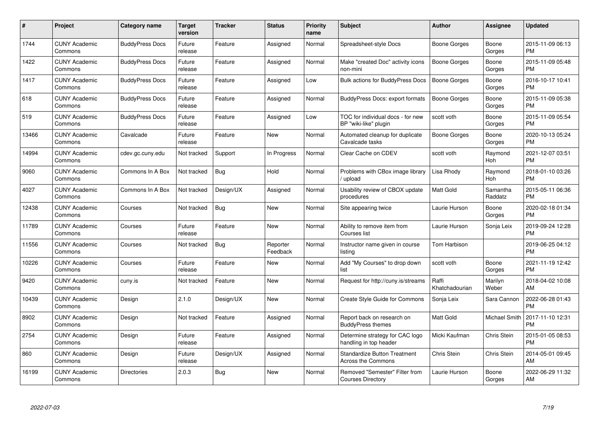| #     | Project                         | <b>Category name</b>   | Target<br>version | <b>Tracker</b> | <b>Status</b>        | <b>Priority</b><br>name | <b>Subject</b>                                                   | <b>Author</b>           | Assignee             | <b>Updated</b>                |
|-------|---------------------------------|------------------------|-------------------|----------------|----------------------|-------------------------|------------------------------------------------------------------|-------------------------|----------------------|-------------------------------|
| 1744  | <b>CUNY Academic</b><br>Commons | <b>BuddyPress Docs</b> | Future<br>release | Feature        | Assigned             | Normal                  | Spreadsheet-style Docs                                           | <b>Boone Gorges</b>     | Boone<br>Gorges      | 2015-11-09 06:13<br><b>PM</b> |
| 1422  | <b>CUNY Academic</b><br>Commons | <b>BuddyPress Docs</b> | Future<br>release | Feature        | Assigned             | Normal                  | Make "created Doc" activity icons<br>non-mini                    | <b>Boone Gorges</b>     | Boone<br>Gorges      | 2015-11-09 05:48<br><b>PM</b> |
| 1417  | <b>CUNY Academic</b><br>Commons | <b>BuddyPress Docs</b> | Future<br>release | Feature        | Assigned             | Low                     | <b>Bulk actions for BuddyPress Docs</b>                          | <b>Boone Gorges</b>     | Boone<br>Gorges      | 2016-10-17 10:41<br><b>PM</b> |
| 618   | <b>CUNY Academic</b><br>Commons | <b>BuddyPress Docs</b> | Future<br>release | Feature        | Assigned             | Normal                  | <b>BuddyPress Docs: export formats</b>                           | Boone Gorges            | Boone<br>Gorges      | 2015-11-09 05:38<br><b>PM</b> |
| 519   | <b>CUNY Academic</b><br>Commons | <b>BuddyPress Docs</b> | Future<br>release | Feature        | Assigned             | Low                     | TOC for individual docs - for new<br>BP "wiki-like" plugin       | scott voth              | Boone<br>Gorges      | 2015-11-09 05:54<br><b>PM</b> |
| 13466 | <b>CUNY Academic</b><br>Commons | Cavalcade              | Future<br>release | Feature        | <b>New</b>           | Normal                  | Automated cleanup for duplicate<br>Cavalcade tasks               | <b>Boone Gorges</b>     | Boone<br>Gorges      | 2020-10-13 05:24<br><b>PM</b> |
| 14994 | <b>CUNY Academic</b><br>Commons | cdev.gc.cuny.edu       | Not tracked       | Support        | In Progress          | Normal                  | Clear Cache on CDEV                                              | scott voth              | Raymond<br>Hoh       | 2021-12-07 03:51<br><b>PM</b> |
| 9060  | <b>CUNY Academic</b><br>Commons | Commons In A Box       | Not tracked       | Bug            | Hold                 | Normal                  | Problems with CBox image library<br>upload                       | Lisa Rhody              | Raymond<br>Hoh       | 2018-01-10 03:26<br><b>PM</b> |
| 4027  | <b>CUNY Academic</b><br>Commons | Commons In A Box       | Not tracked       | Design/UX      | Assigned             | Normal                  | Usability review of CBOX update<br>procedures                    | <b>Matt Gold</b>        | Samantha<br>Raddatz  | 2015-05-11 06:36<br><b>PM</b> |
| 12438 | <b>CUNY Academic</b><br>Commons | Courses                | Not tracked       | <b>Bug</b>     | <b>New</b>           | Normal                  | Site appearing twice                                             | Laurie Hurson           | Boone<br>Gorges      | 2020-02-18 01:34<br><b>PM</b> |
| 11789 | <b>CUNY Academic</b><br>Commons | Courses                | Future<br>release | Feature        | <b>New</b>           | Normal                  | Ability to remove item from<br>Courses list                      | Laurie Hurson           | Sonja Leix           | 2019-09-24 12:28<br><b>PM</b> |
| 11556 | <b>CUNY Academic</b><br>Commons | Courses                | Not tracked       | <b>Bug</b>     | Reporter<br>Feedback | Normal                  | Instructor name given in course<br>listing                       | Tom Harbison            |                      | 2019-06-25 04:12<br><b>PM</b> |
| 10226 | <b>CUNY Academic</b><br>Commons | Courses                | Future<br>release | Feature        | <b>New</b>           | Normal                  | Add "My Courses" to drop down<br>list                            | scott voth              | Boone<br>Gorges      | 2021-11-19 12:42<br><b>PM</b> |
| 9420  | <b>CUNY Academic</b><br>Commons | cuny.is                | Not tracked       | Feature        | <b>New</b>           | Normal                  | Request for http://cuny.is/streams                               | Raffi<br>Khatchadourian | Marilyn<br>Weber     | 2018-04-02 10:08<br>AM        |
| 10439 | <b>CUNY Academic</b><br>Commons | Design                 | 2.1.0             | Design/UX      | <b>New</b>           | Normal                  | Create Style Guide for Commons                                   | Sonja Leix              | Sara Cannon          | 2022-06-28 01:43<br><b>PM</b> |
| 8902  | <b>CUNY Academic</b><br>Commons | Design                 | Not tracked       | Feature        | Assigned             | Normal                  | Report back on research on<br><b>BuddyPress themes</b>           | Matt Gold               | <b>Michael Smith</b> | 2017-11-10 12:31<br><b>PM</b> |
| 2754  | <b>CUNY Academic</b><br>Commons | Design                 | Future<br>release | Feature        | Assigned             | Normal                  | Determine strategy for CAC logo<br>handling in top header        | Micki Kaufman           | Chris Stein          | 2015-01-05 08:53<br><b>PM</b> |
| 860   | <b>CUNY Academic</b><br>Commons | Design                 | Future<br>release | Design/UX      | Assigned             | Normal                  | <b>Standardize Button Treatment</b><br><b>Across the Commons</b> | Chris Stein             | Chris Stein          | 2014-05-01 09:45<br>AM        |
| 16199 | <b>CUNY Academic</b><br>Commons | <b>Directories</b>     | 2.0.3             | Bug            | New                  | Normal                  | Removed "Semester" Filter from<br><b>Courses Directory</b>       | Laurie Hurson           | Boone<br>Gorges      | 2022-06-29 11:32<br>AM        |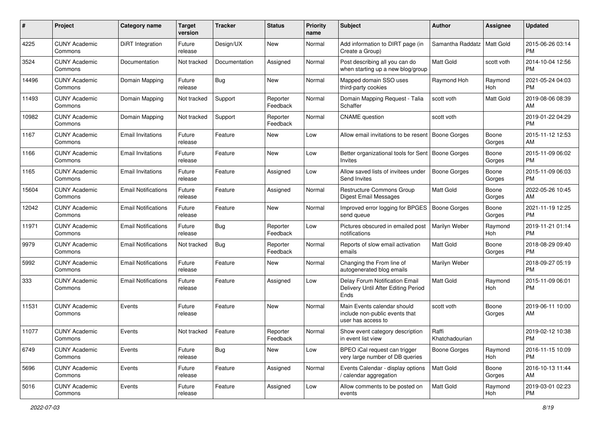| #     | Project                         | <b>Category name</b>       | <b>Target</b><br>version | <b>Tracker</b> | <b>Status</b>        | <b>Priority</b><br>name | <b>Subject</b>                                                                      | Author                  | Assignee         | <b>Updated</b>                |
|-------|---------------------------------|----------------------------|--------------------------|----------------|----------------------|-------------------------|-------------------------------------------------------------------------------------|-------------------------|------------------|-------------------------------|
| 4225  | <b>CUNY Academic</b><br>Commons | DiRT Integration           | Future<br>release        | Design/UX      | New                  | Normal                  | Add information to DIRT page (in<br>Create a Group)                                 | Samantha Raddatz        | <b>Matt Gold</b> | 2015-06-26 03:14<br><b>PM</b> |
| 3524  | <b>CUNY Academic</b><br>Commons | Documentation              | Not tracked              | Documentation  | Assigned             | Normal                  | Post describing all you can do<br>when starting up a new blog/group                 | <b>Matt Gold</b>        | scott voth       | 2014-10-04 12:56<br><b>PM</b> |
| 14496 | <b>CUNY Academic</b><br>Commons | Domain Mapping             | Future<br>release        | Bug            | New                  | Normal                  | Mapped domain SSO uses<br>third-party cookies                                       | Raymond Hoh             | Raymond<br>Hoh   | 2021-05-24 04:03<br>PM        |
| 11493 | <b>CUNY Academic</b><br>Commons | Domain Mapping             | Not tracked              | Support        | Reporter<br>Feedback | Normal                  | Domain Mapping Request - Talia<br>Schaffer                                          | scott voth              | Matt Gold        | 2019-08-06 08:39<br>AM        |
| 10982 | <b>CUNY Academic</b><br>Commons | Domain Mapping             | Not tracked              | Support        | Reporter<br>Feedback | Normal                  | <b>CNAME</b> question                                                               | scott voth              |                  | 2019-01-22 04:29<br><b>PM</b> |
| 1167  | <b>CUNY Academic</b><br>Commons | <b>Email Invitations</b>   | Future<br>release        | Feature        | New                  | Low                     | Allow email invitations to be resent                                                | Boone Gorges            | Boone<br>Gorges  | 2015-11-12 12:53<br>AM        |
| 1166  | <b>CUNY Academic</b><br>Commons | <b>Email Invitations</b>   | Future<br>release        | Feature        | New                  | Low                     | Better organizational tools for Sent<br>Invites                                     | Boone Gorges            | Boone<br>Gorges  | 2015-11-09 06:02<br><b>PM</b> |
| 1165  | <b>CUNY Academic</b><br>Commons | <b>Email Invitations</b>   | Future<br>release        | Feature        | Assigned             | Low                     | Allow saved lists of invitees under<br>Send Invites                                 | <b>Boone Gorges</b>     | Boone<br>Gorges  | 2015-11-09 06:03<br>PM        |
| 15604 | <b>CUNY Academic</b><br>Commons | <b>Email Notifications</b> | Future<br>release        | Feature        | Assigned             | Normal                  | Restructure Commons Group<br>Digest Email Messages                                  | <b>Matt Gold</b>        | Boone<br>Gorges  | 2022-05-26 10:45<br>AM        |
| 12042 | <b>CUNY Academic</b><br>Commons | <b>Email Notifications</b> | Future<br>release        | Feature        | New                  | Normal                  | Improved error logging for BPGES<br>send queue                                      | Boone Gorges            | Boone<br>Gorges  | 2021-11-19 12:25<br>PM        |
| 11971 | <b>CUNY Academic</b><br>Commons | <b>Email Notifications</b> | Future<br>release        | Bug            | Reporter<br>Feedback | Low                     | Pictures obscured in emailed post<br>notifications                                  | Marilyn Weber           | Raymond<br>Hoh   | 2019-11-21 01:14<br><b>PM</b> |
| 9979  | <b>CUNY Academic</b><br>Commons | <b>Email Notifications</b> | Not tracked              | Bug            | Reporter<br>Feedback | Normal                  | Reports of slow email activation<br>emails                                          | <b>Matt Gold</b>        | Boone<br>Gorges  | 2018-08-29 09:40<br><b>PM</b> |
| 5992  | <b>CUNY Academic</b><br>Commons | <b>Email Notifications</b> | Future<br>release        | Feature        | New                  | Normal                  | Changing the From line of<br>autogenerated blog emails                              | Marilyn Weber           |                  | 2018-09-27 05:19<br><b>PM</b> |
| 333   | <b>CUNY Academic</b><br>Commons | <b>Email Notifications</b> | Future<br>release        | Feature        | Assigned             | Low                     | Delay Forum Notification Email<br>Delivery Until After Editing Period<br>Ends       | <b>Matt Gold</b>        | Raymond<br>Hoh   | 2015-11-09 06:01<br>PM        |
| 11531 | <b>CUNY Academic</b><br>Commons | Events                     | Future<br>release        | Feature        | New                  | Normal                  | Main Events calendar should<br>include non-public events that<br>user has access to | scott voth              | Boone<br>Gorges  | 2019-06-11 10:00<br>AM        |
| 11077 | <b>CUNY Academic</b><br>Commons | Events                     | Not tracked              | Feature        | Reporter<br>Feedback | Normal                  | Show event category description<br>in event list view                               | Raffi<br>Khatchadourian |                  | 2019-02-12 10:38<br>PM        |
| 6749  | <b>CUNY Academic</b><br>Commons | Events                     | Future<br>release        | <b>Bug</b>     | New                  | Low                     | BPEO iCal request can trigger<br>very large number of DB queries                    | Boone Gorges            | Raymond<br>Hoh   | 2016-11-15 10:09<br>PM        |
| 5696  | <b>CUNY Academic</b><br>Commons | Events                     | Future<br>release        | Feature        | Assigned             | Normal                  | Events Calendar - display options<br>/ calendar aggregation                         | Matt Gold               | Boone<br>Gorges  | 2016-10-13 11:44<br>AM        |
| 5016  | <b>CUNY Academic</b><br>Commons | Events                     | Future<br>release        | Feature        | Assigned             | Low                     | Allow comments to be posted on<br>events                                            | Matt Gold               | Raymond<br>Hoh   | 2019-03-01 02:23<br>PM        |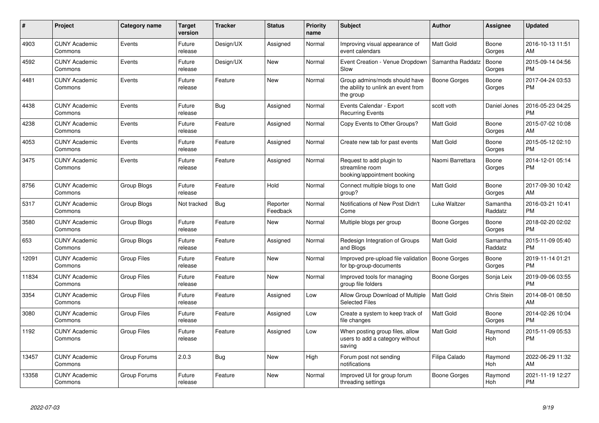| #     | Project                         | <b>Category name</b> | <b>Target</b><br>version | <b>Tracker</b> | <b>Status</b>        | <b>Priority</b><br>name | <b>Subject</b>                                                                    | <b>Author</b>    | Assignee            | <b>Updated</b>                |
|-------|---------------------------------|----------------------|--------------------------|----------------|----------------------|-------------------------|-----------------------------------------------------------------------------------|------------------|---------------------|-------------------------------|
| 4903  | <b>CUNY Academic</b><br>Commons | Events               | Future<br>release        | Design/UX      | Assigned             | Normal                  | Improving visual appearance of<br>event calendars                                 | Matt Gold        | Boone<br>Gorges     | 2016-10-13 11:51<br>AM        |
| 4592  | <b>CUNY Academic</b><br>Commons | Events               | Future<br>release        | Design/UX      | <b>New</b>           | Normal                  | Event Creation - Venue Dropdown<br>Slow                                           | Samantha Raddatz | Boone<br>Gorges     | 2015-09-14 04:56<br><b>PM</b> |
| 4481  | <b>CUNY Academic</b><br>Commons | Events               | Future<br>release        | Feature        | <b>New</b>           | Normal                  | Group admins/mods should have<br>the ability to unlink an event from<br>the group | Boone Gorges     | Boone<br>Gorges     | 2017-04-24 03:53<br><b>PM</b> |
| 4438  | <b>CUNY Academic</b><br>Commons | Events               | Future<br>release        | Bug            | Assigned             | Normal                  | Events Calendar - Export<br><b>Recurring Events</b>                               | scott voth       | Daniel Jones        | 2016-05-23 04:25<br><b>PM</b> |
| 4238  | <b>CUNY Academic</b><br>Commons | Events               | Future<br>release        | Feature        | Assigned             | Normal                  | Copy Events to Other Groups?                                                      | Matt Gold        | Boone<br>Gorges     | 2015-07-02 10:08<br>AM        |
| 4053  | <b>CUNY Academic</b><br>Commons | Events               | Future<br>release        | Feature        | Assigned             | Normal                  | Create new tab for past events                                                    | <b>Matt Gold</b> | Boone<br>Gorges     | 2015-05-12 02:10<br><b>PM</b> |
| 3475  | <b>CUNY Academic</b><br>Commons | Events               | Future<br>release        | Feature        | Assigned             | Normal                  | Request to add plugin to<br>streamline room<br>booking/appointment booking        | Naomi Barrettara | Boone<br>Gorges     | 2014-12-01 05:14<br><b>PM</b> |
| 8756  | <b>CUNY Academic</b><br>Commons | <b>Group Blogs</b>   | Future<br>release        | Feature        | Hold                 | Normal                  | Connect multiple blogs to one<br>group?                                           | <b>Matt Gold</b> | Boone<br>Gorges     | 2017-09-30 10:42<br>AM        |
| 5317  | <b>CUNY Academic</b><br>Commons | Group Blogs          | Not tracked              | Bug            | Reporter<br>Feedback | Normal                  | Notifications of New Post Didn't<br>Come                                          | Luke Waltzer     | Samantha<br>Raddatz | 2016-03-21 10:41<br><b>PM</b> |
| 3580  | <b>CUNY Academic</b><br>Commons | Group Blogs          | Future<br>release        | Feature        | New                  | Normal                  | Multiple blogs per group                                                          | Boone Gorges     | Boone<br>Gorges     | 2018-02-20 02:02<br><b>PM</b> |
| 653   | <b>CUNY Academic</b><br>Commons | Group Blogs          | Future<br>release        | Feature        | Assigned             | Normal                  | Redesign Integration of Groups<br>and Blogs                                       | <b>Matt Gold</b> | Samantha<br>Raddatz | 2015-11-09 05:40<br><b>PM</b> |
| 12091 | <b>CUNY Academic</b><br>Commons | <b>Group Files</b>   | Future<br>release        | Feature        | <b>New</b>           | Normal                  | Improved pre-upload file validation<br>for bp-group-documents                     | Boone Gorges     | Boone<br>Gorges     | 2019-11-14 01:21<br><b>PM</b> |
| 11834 | <b>CUNY Academic</b><br>Commons | <b>Group Files</b>   | Future<br>release        | Feature        | <b>New</b>           | Normal                  | Improved tools for managing<br>group file folders                                 | Boone Gorges     | Sonja Leix          | 2019-09-06 03:55<br><b>PM</b> |
| 3354  | <b>CUNY Academic</b><br>Commons | <b>Group Files</b>   | Future<br>release        | Feature        | Assigned             | Low                     | Allow Group Download of Multiple<br><b>Selected Files</b>                         | <b>Matt Gold</b> | Chris Stein         | 2014-08-01 08:50<br>AM        |
| 3080  | <b>CUNY Academic</b><br>Commons | <b>Group Files</b>   | Future<br>release        | Feature        | Assigned             | Low                     | Create a system to keep track of<br>file changes                                  | <b>Matt Gold</b> | Boone<br>Gorges     | 2014-02-26 10:04<br><b>PM</b> |
| 1192  | <b>CUNY Academic</b><br>Commons | Group Files          | Future<br>release        | Feature        | Assigned             | Low                     | When posting group files, allow<br>users to add a category without<br>saving      | <b>Matt Gold</b> | Raymond<br>Hoh      | 2015-11-09 05:53<br><b>PM</b> |
| 13457 | <b>CUNY Academic</b><br>Commons | Group Forums         | 2.0.3                    | <b>Bug</b>     | <b>New</b>           | High                    | Forum post not sending<br>notifications                                           | Filipa Calado    | Raymond<br>Hoh      | 2022-06-29 11:32<br>AM        |
| 13358 | <b>CUNY Academic</b><br>Commons | Group Forums         | Future<br>release        | Feature        | <b>New</b>           | Normal                  | Improved UI for group forum<br>threading settings                                 | Boone Gorges     | Raymond<br>Hoh      | 2021-11-19 12:27<br><b>PM</b> |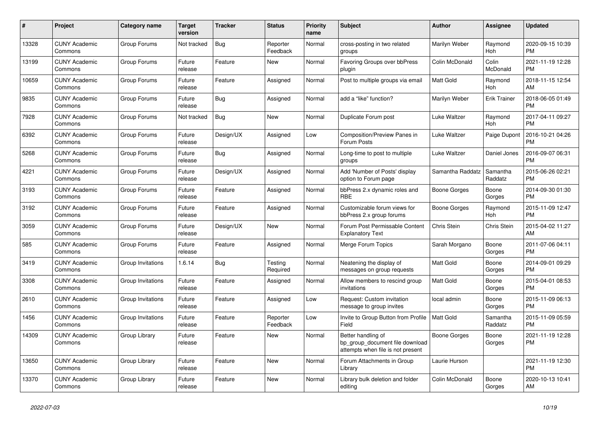| #     | Project                         | Category name     | Target<br>version | Tracker    | <b>Status</b>        | <b>Priority</b><br>name | <b>Subject</b>                                                                             | <b>Author</b>    | Assignee            | <b>Updated</b>                |
|-------|---------------------------------|-------------------|-------------------|------------|----------------------|-------------------------|--------------------------------------------------------------------------------------------|------------------|---------------------|-------------------------------|
| 13328 | <b>CUNY Academic</b><br>Commons | Group Forums      | Not tracked       | Bug        | Reporter<br>Feedback | Normal                  | cross-posting in two related<br>groups                                                     | Marilyn Weber    | Raymond<br>Hoh      | 2020-09-15 10:39<br><b>PM</b> |
| 13199 | <b>CUNY Academic</b><br>Commons | Group Forums      | Future<br>release | Feature    | <b>New</b>           | Normal                  | <b>Favoring Groups over bbPress</b><br>plugin                                              | Colin McDonald   | Colin<br>McDonald   | 2021-11-19 12:28<br><b>PM</b> |
| 10659 | <b>CUNY Academic</b><br>Commons | Group Forums      | Future<br>release | Feature    | Assigned             | Normal                  | Post to multiple groups via email                                                          | Matt Gold        | Raymond<br>Hoh      | 2018-11-15 12:54<br>AM        |
| 9835  | <b>CUNY Academic</b><br>Commons | Group Forums      | Future<br>release | <b>Bug</b> | Assigned             | Normal                  | add a "like" function?                                                                     | Marilyn Weber    | <b>Erik Trainer</b> | 2018-06-05 01:49<br><b>PM</b> |
| 7928  | <b>CUNY Academic</b><br>Commons | Group Forums      | Not tracked       | <b>Bug</b> | New                  | Normal                  | Duplicate Forum post                                                                       | Luke Waltzer     | Raymond<br>Hoh      | 2017-04-11 09:27<br><b>PM</b> |
| 6392  | <b>CUNY Academic</b><br>Commons | Group Forums      | Future<br>release | Design/UX  | Assigned             | Low                     | <b>Composition/Preview Panes in</b><br>Forum Posts                                         | Luke Waltzer     | Paige Dupont        | 2016-10-21 04:26<br><b>PM</b> |
| 5268  | <b>CUNY Academic</b><br>Commons | Group Forums      | Future<br>release | Bug        | Assigned             | Normal                  | Long-time to post to multiple<br>groups                                                    | Luke Waltzer     | Daniel Jones        | 2016-09-07 06:31<br><b>PM</b> |
| 4221  | <b>CUNY Academic</b><br>Commons | Group Forums      | Future<br>release | Design/UX  | Assigned             | Normal                  | Add 'Number of Posts' display<br>option to Forum page                                      | Samantha Raddatz | Samantha<br>Raddatz | 2015-06-26 02:21<br><b>PM</b> |
| 3193  | <b>CUNY Academic</b><br>Commons | Group Forums      | Future<br>release | Feature    | Assigned             | Normal                  | bbPress 2.x dynamic roles and<br><b>RBE</b>                                                | Boone Gorges     | Boone<br>Gorges     | 2014-09-30 01:30<br><b>PM</b> |
| 3192  | <b>CUNY Academic</b><br>Commons | Group Forums      | Future<br>release | Feature    | Assigned             | Normal                  | Customizable forum views for<br>bbPress 2.x group forums                                   | Boone Gorges     | Raymond<br>Hoh      | 2015-11-09 12:47<br><b>PM</b> |
| 3059  | <b>CUNY Academic</b><br>Commons | Group Forums      | Future<br>release | Design/UX  | <b>New</b>           | Normal                  | Forum Post Permissable Content<br><b>Explanatory Text</b>                                  | Chris Stein      | Chris Stein         | 2015-04-02 11:27<br>AM        |
| 585   | <b>CUNY Academic</b><br>Commons | Group Forums      | Future<br>release | Feature    | Assigned             | Normal                  | Merge Forum Topics                                                                         | Sarah Morgano    | Boone<br>Gorges     | 2011-07-06 04:11<br><b>PM</b> |
| 3419  | <b>CUNY Academic</b><br>Commons | Group Invitations | 1.6.14            | <b>Bug</b> | Testing<br>Required  | Normal                  | Neatening the display of<br>messages on group requests                                     | Matt Gold        | Boone<br>Gorges     | 2014-09-01 09:29<br><b>PM</b> |
| 3308  | <b>CUNY Academic</b><br>Commons | Group Invitations | Future<br>release | Feature    | Assigned             | Normal                  | Allow members to rescind group<br>invitations                                              | Matt Gold        | Boone<br>Gorges     | 2015-04-01 08:53<br><b>PM</b> |
| 2610  | <b>CUNY Academic</b><br>Commons | Group Invitations | Future<br>release | Feature    | Assigned             | Low                     | Request: Custom invitation<br>message to group invites                                     | local admin      | Boone<br>Gorges     | 2015-11-09 06:13<br><b>PM</b> |
| 1456  | <b>CUNY Academic</b><br>Commons | Group Invitations | Future<br>release | Feature    | Reporter<br>Feedback | Low                     | Invite to Group Button from Profile<br>Field                                               | <b>Matt Gold</b> | Samantha<br>Raddatz | 2015-11-09 05:59<br><b>PM</b> |
| 14309 | <b>CUNY Academic</b><br>Commons | Group Library     | Future<br>release | Feature    | New                  | Normal                  | Better handling of<br>bp_group_document file download<br>attempts when file is not present | Boone Gorges     | Boone<br>Gorges     | 2021-11-19 12:28<br><b>PM</b> |
| 13650 | <b>CUNY Academic</b><br>Commons | Group Library     | Future<br>release | Feature    | New                  | Normal                  | Forum Attachments in Group<br>Library                                                      | Laurie Hurson    |                     | 2021-11-19 12:30<br><b>PM</b> |
| 13370 | <b>CUNY Academic</b><br>Commons | Group Library     | Future<br>release | Feature    | <b>New</b>           | Normal                  | Library bulk deletion and folder<br>editing                                                | Colin McDonald   | Boone<br>Gorges     | 2020-10-13 10:41<br>AM        |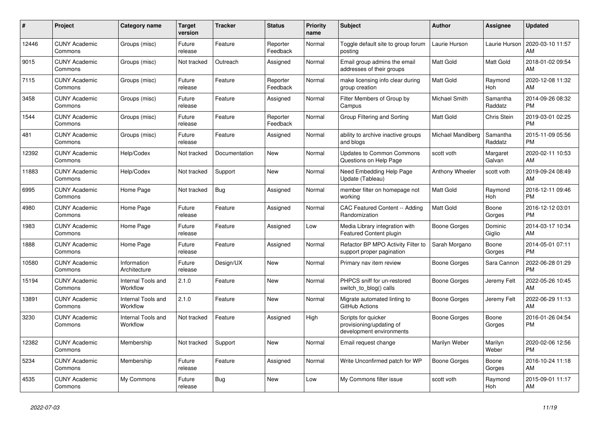| #     | Project                         | <b>Category name</b>           | <b>Target</b><br>version | <b>Tracker</b> | <b>Status</b>        | <b>Priority</b><br>name | <b>Subject</b>                                                              | <b>Author</b>          | Assignee            | <b>Updated</b>                |
|-------|---------------------------------|--------------------------------|--------------------------|----------------|----------------------|-------------------------|-----------------------------------------------------------------------------|------------------------|---------------------|-------------------------------|
| 12446 | <b>CUNY Academic</b><br>Commons | Groups (misc)                  | Future<br>release        | Feature        | Reporter<br>Feedback | Normal                  | Toggle default site to group forum<br>posting                               | Laurie Hurson          | Laurie Hurson       | 2020-03-10 11:57<br>AM        |
| 9015  | <b>CUNY Academic</b><br>Commons | Groups (misc)                  | Not tracked              | Outreach       | Assigned             | Normal                  | Email group admins the email<br>addresses of their groups                   | Matt Gold              | Matt Gold           | 2018-01-02 09:54<br>AM        |
| 7115  | <b>CUNY Academic</b><br>Commons | Groups (misc)                  | Future<br>release        | Feature        | Reporter<br>Feedback | Normal                  | make licensing info clear during<br>group creation                          | <b>Matt Gold</b>       | Raymond<br>Hoh      | 2020-12-08 11:32<br>AM        |
| 3458  | <b>CUNY Academic</b><br>Commons | Groups (misc)                  | Future<br>release        | Feature        | Assigned             | Normal                  | Filter Members of Group by<br>Campus                                        | Michael Smith          | Samantha<br>Raddatz | 2014-09-26 08:32<br><b>PM</b> |
| 1544  | <b>CUNY Academic</b><br>Commons | Groups (misc)                  | Future<br>release        | Feature        | Reporter<br>Feedback | Normal                  | Group Filtering and Sorting                                                 | Matt Gold              | <b>Chris Stein</b>  | 2019-03-01 02:25<br><b>PM</b> |
| 481   | <b>CUNY Academic</b><br>Commons | Groups (misc)                  | Future<br>release        | Feature        | Assigned             | Normal                  | ability to archive inactive groups<br>and blogs                             | Michael Mandiberg      | Samantha<br>Raddatz | 2015-11-09 05:56<br><b>PM</b> |
| 12392 | <b>CUNY Academic</b><br>Commons | Help/Codex                     | Not tracked              | Documentation  | <b>New</b>           | Normal                  | <b>Updates to Common Commons</b><br>Questions on Help Page                  | scott voth             | Margaret<br>Galvan  | 2020-02-11 10:53<br>AM        |
| 11883 | <b>CUNY Academic</b><br>Commons | Help/Codex                     | Not tracked              | Support        | <b>New</b>           | Normal                  | Need Embedding Help Page<br>Update (Tableau)                                | <b>Anthony Wheeler</b> | scott voth          | 2019-09-24 08:49<br>AM        |
| 6995  | <b>CUNY Academic</b><br>Commons | Home Page                      | Not tracked              | Bug            | Assigned             | Normal                  | member filter on homepage not<br>working                                    | <b>Matt Gold</b>       | Raymond<br>Hoh      | 2016-12-11 09:46<br><b>PM</b> |
| 4980  | <b>CUNY Academic</b><br>Commons | Home Page                      | Future<br>release        | Feature        | Assigned             | Normal                  | CAC Featured Content -- Adding<br>Randomization                             | <b>Matt Gold</b>       | Boone<br>Gorges     | 2016-12-12 03:01<br><b>PM</b> |
| 1983  | <b>CUNY Academic</b><br>Commons | Home Page                      | Future<br>release        | Feature        | Assigned             | Low                     | Media Library integration with<br><b>Featured Content plugin</b>            | Boone Gorges           | Dominic<br>Giglio   | 2014-03-17 10:34<br>AM        |
| 1888  | <b>CUNY Academic</b><br>Commons | Home Page                      | Future<br>release        | Feature        | Assigned             | Normal                  | Refactor BP MPO Activity Filter to<br>support proper pagination             | Sarah Morgano          | Boone<br>Gorges     | 2014-05-01 07:11<br><b>PM</b> |
| 10580 | <b>CUNY Academic</b><br>Commons | Information<br>Architecture    | Future<br>release        | Design/UX      | New                  | Normal                  | Primary nav item review                                                     | Boone Gorges           | Sara Cannon         | 2022-06-28 01:29<br><b>PM</b> |
| 15194 | <b>CUNY Academic</b><br>Commons | Internal Tools and<br>Workflow | 2.1.0                    | Feature        | <b>New</b>           | Normal                  | PHPCS sniff for un-restored<br>switch to blog() calls                       | Boone Gorges           | Jeremy Felt         | 2022-05-26 10:45<br>AM        |
| 13891 | <b>CUNY Academic</b><br>Commons | Internal Tools and<br>Workflow | 2.1.0                    | Feature        | <b>New</b>           | Normal                  | Migrate automated linting to<br>GitHub Actions                              | Boone Gorges           | Jeremy Felt         | 2022-06-29 11:13<br>AM        |
| 3230  | <b>CUNY Academic</b><br>Commons | Internal Tools and<br>Workflow | Not tracked              | Feature        | Assigned             | High                    | Scripts for quicker<br>provisioning/updating of<br>development environments | <b>Boone Gorges</b>    | Boone<br>Gorges     | 2016-01-26 04:54<br><b>PM</b> |
| 12382 | <b>CUNY Academic</b><br>Commons | Membership                     | Not tracked              | Support        | <b>New</b>           | Normal                  | Email request change                                                        | Marilyn Weber          | Marilyn<br>Weber    | 2020-02-06 12:56<br><b>PM</b> |
| 5234  | <b>CUNY Academic</b><br>Commons | Membership                     | Future<br>release        | Feature        | Assigned             | Normal                  | Write Unconfirmed patch for WP                                              | Boone Gorges           | Boone<br>Gorges     | 2016-10-24 11:18<br>AM        |
| 4535  | <b>CUNY Academic</b><br>Commons | My Commons                     | Future<br>release        | <b>Bug</b>     | <b>New</b>           | Low                     | My Commons filter issue                                                     | scott voth             | Raymond<br>Hoh      | 2015-09-01 11:17<br>AM        |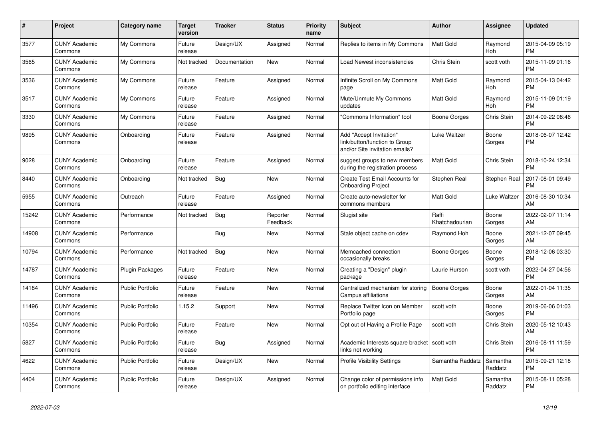| $\#$  | Project                         | <b>Category name</b>    | <b>Target</b><br>version | <b>Tracker</b> | <b>Status</b>        | <b>Priority</b><br>name | <b>Subject</b>                                                                             | <b>Author</b>           | <b>Assignee</b>     | <b>Updated</b>                |
|-------|---------------------------------|-------------------------|--------------------------|----------------|----------------------|-------------------------|--------------------------------------------------------------------------------------------|-------------------------|---------------------|-------------------------------|
| 3577  | <b>CUNY Academic</b><br>Commons | My Commons              | Future<br>release        | Design/UX      | Assigned             | Normal                  | Replies to items in My Commons                                                             | <b>Matt Gold</b>        | Raymond<br>Hoh      | 2015-04-09 05:19<br><b>PM</b> |
| 3565  | <b>CUNY Academic</b><br>Commons | My Commons              | Not tracked              | Documentation  | New                  | Normal                  | Load Newest inconsistencies                                                                | Chris Stein             | scott voth          | 2015-11-09 01:16<br><b>PM</b> |
| 3536  | <b>CUNY Academic</b><br>Commons | My Commons              | Future<br>release        | Feature        | Assigned             | Normal                  | Infinite Scroll on My Commons<br>page                                                      | Matt Gold               | Raymond<br>Hoh      | 2015-04-13 04:42<br><b>PM</b> |
| 3517  | <b>CUNY Academic</b><br>Commons | My Commons              | Future<br>release        | Feature        | Assigned             | Normal                  | Mute/Unmute My Commons<br>updates                                                          | Matt Gold               | Raymond<br>Hoh      | 2015-11-09 01:19<br><b>PM</b> |
| 3330  | <b>CUNY Academic</b><br>Commons | My Commons              | Future<br>release        | Feature        | Assigned             | Normal                  | "Commons Information" tool                                                                 | Boone Gorges            | Chris Stein         | 2014-09-22 08:46<br><b>PM</b> |
| 9895  | <b>CUNY Academic</b><br>Commons | Onboarding              | Future<br>release        | Feature        | Assigned             | Normal                  | Add "Accept Invitation"<br>link/button/function to Group<br>and/or Site invitation emails? | Luke Waltzer            | Boone<br>Gorges     | 2018-06-07 12:42<br><b>PM</b> |
| 9028  | <b>CUNY Academic</b><br>Commons | Onboarding              | Future<br>release        | Feature        | Assigned             | Normal                  | suggest groups to new members<br>during the registration process                           | Matt Gold               | Chris Stein         | 2018-10-24 12:34<br><b>PM</b> |
| 8440  | <b>CUNY Academic</b><br>Commons | Onboarding              | Not tracked              | Bug            | New                  | Normal                  | Create Test Email Accounts for<br><b>Onboarding Project</b>                                | Stephen Real            | Stephen Real        | 2017-08-01 09:49<br><b>PM</b> |
| 5955  | <b>CUNY Academic</b><br>Commons | Outreach                | Future<br>release        | Feature        | Assigned             | Normal                  | Create auto-newsletter for<br>commons members                                              | Matt Gold               | Luke Waltzer        | 2016-08-30 10:34<br>AM        |
| 15242 | <b>CUNY Academic</b><br>Commons | Performance             | Not tracked              | <b>Bug</b>     | Reporter<br>Feedback | Normal                  | Slugist site                                                                               | Raffi<br>Khatchadourian | Boone<br>Gorges     | 2022-02-07 11:14<br>AM        |
| 14908 | <b>CUNY Academic</b><br>Commons | Performance             |                          | Bug            | New                  | Normal                  | Stale object cache on cdev                                                                 | Raymond Hoh             | Boone<br>Gorges     | 2021-12-07 09:45<br>AM        |
| 10794 | <b>CUNY Academic</b><br>Commons | Performance             | Not tracked              | <b>Bug</b>     | <b>New</b>           | Normal                  | Memcached connection<br>occasionally breaks                                                | <b>Boone Gorges</b>     | Boone<br>Gorges     | 2018-12-06 03:30<br><b>PM</b> |
| 14787 | <b>CUNY Academic</b><br>Commons | Plugin Packages         | Future<br>release        | Feature        | <b>New</b>           | Normal                  | Creating a "Design" plugin<br>package                                                      | Laurie Hurson           | scott voth          | 2022-04-27 04:56<br><b>PM</b> |
| 14184 | <b>CUNY Academic</b><br>Commons | Public Portfolio        | Future<br>release        | Feature        | <b>New</b>           | Normal                  | Centralized mechanism for storing<br>Campus affiliations                                   | Boone Gorges            | Boone<br>Gorges     | 2022-01-04 11:35<br>AM        |
| 11496 | <b>CUNY Academic</b><br>Commons | <b>Public Portfolio</b> | 1.15.2                   | Support        | New                  | Normal                  | Replace Twitter Icon on Member<br>Portfolio page                                           | scott voth              | Boone<br>Gorges     | 2019-06-06 01:03<br><b>PM</b> |
| 10354 | <b>CUNY Academic</b><br>Commons | <b>Public Portfolio</b> | Future<br>release        | Feature        | New                  | Normal                  | Opt out of Having a Profile Page                                                           | scott voth              | Chris Stein         | 2020-05-12 10:43<br>AM        |
| 5827  | <b>CUNY Academic</b><br>Commons | <b>Public Portfolio</b> | Future<br>release        | Bug            | Assigned             | Normal                  | Academic Interests square bracket   scott voth<br>links not working                        |                         | Chris Stein         | 2016-08-11 11:59<br><b>PM</b> |
| 4622  | <b>CUNY Academic</b><br>Commons | <b>Public Portfolio</b> | Future<br>release        | Design/UX      | <b>New</b>           | Normal                  | <b>Profile Visibility Settings</b>                                                         | Samantha Raddatz        | Samantha<br>Raddatz | 2015-09-21 12:18<br><b>PM</b> |
| 4404  | <b>CUNY Academic</b><br>Commons | Public Portfolio        | Future<br>release        | Design/UX      | Assigned             | Normal                  | Change color of permissions info<br>on portfolio editing interface                         | <b>Matt Gold</b>        | Samantha<br>Raddatz | 2015-08-11 05:28<br><b>PM</b> |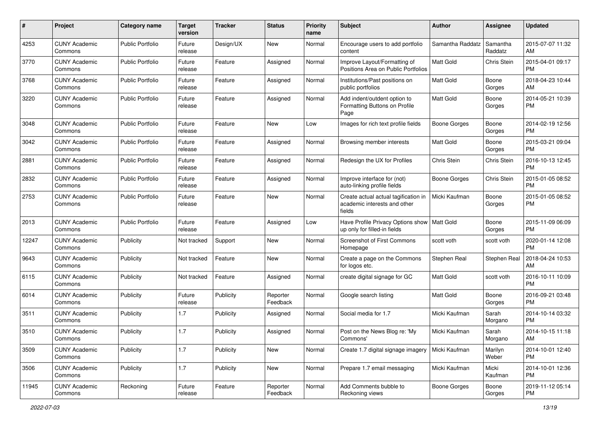| #     | Project                         | <b>Category name</b>    | <b>Target</b><br>version | <b>Tracker</b> | <b>Status</b>        | <b>Priority</b><br>name | <b>Subject</b>                                                                 | Author              | <b>Assignee</b>     | <b>Updated</b>                |
|-------|---------------------------------|-------------------------|--------------------------|----------------|----------------------|-------------------------|--------------------------------------------------------------------------------|---------------------|---------------------|-------------------------------|
| 4253  | <b>CUNY Academic</b><br>Commons | <b>Public Portfolio</b> | Future<br>release        | Design/UX      | New                  | Normal                  | Encourage users to add portfolio<br>content                                    | Samantha Raddatz    | Samantha<br>Raddatz | 2015-07-07 11:32<br>AM        |
| 3770  | <b>CUNY Academic</b><br>Commons | <b>Public Portfolio</b> | Future<br>release        | Feature        | Assigned             | Normal                  | Improve Layout/Formatting of<br>Positions Area on Public Portfolios            | Matt Gold           | Chris Stein         | 2015-04-01 09:17<br><b>PM</b> |
| 3768  | <b>CUNY Academic</b><br>Commons | <b>Public Portfolio</b> | Future<br>release        | Feature        | Assigned             | Normal                  | Institutions/Past positions on<br>public portfolios                            | Matt Gold           | Boone<br>Gorges     | 2018-04-23 10:44<br>AM        |
| 3220  | <b>CUNY Academic</b><br>Commons | <b>Public Portfolio</b> | Future<br>release        | Feature        | Assigned             | Normal                  | Add indent/outdent option to<br>Formatting Buttons on Profile<br>Page          | <b>Matt Gold</b>    | Boone<br>Gorges     | 2014-05-21 10:39<br>PM        |
| 3048  | <b>CUNY Academic</b><br>Commons | <b>Public Portfolio</b> | Future<br>release        | Feature        | New                  | Low                     | Images for rich text profile fields                                            | Boone Gorges        | Boone<br>Gorges     | 2014-02-19 12:56<br>PM.       |
| 3042  | <b>CUNY Academic</b><br>Commons | <b>Public Portfolio</b> | Future<br>release        | Feature        | Assigned             | Normal                  | Browsing member interests                                                      | Matt Gold           | Boone<br>Gorges     | 2015-03-21 09:04<br><b>PM</b> |
| 2881  | <b>CUNY Academic</b><br>Commons | <b>Public Portfolio</b> | Future<br>release        | Feature        | Assigned             | Normal                  | Redesign the UX for Profiles                                                   | Chris Stein         | Chris Stein         | 2016-10-13 12:45<br><b>PM</b> |
| 2832  | <b>CUNY Academic</b><br>Commons | <b>Public Portfolio</b> | Future<br>release        | Feature        | Assigned             | Normal                  | Improve interface for (not)<br>auto-linking profile fields                     | Boone Gorges        | Chris Stein         | 2015-01-05 08:52<br><b>PM</b> |
| 2753  | <b>CUNY Academic</b><br>Commons | <b>Public Portfolio</b> | Future<br>release        | Feature        | New                  | Normal                  | Create actual actual tagification in<br>academic interests and other<br>fields | Micki Kaufman       | Boone<br>Gorges     | 2015-01-05 08:52<br>PM.       |
| 2013  | <b>CUNY Academic</b><br>Commons | Public Portfolio        | Future<br>release        | Feature        | Assigned             | Low                     | Have Profile Privacy Options show   Matt Gold<br>up only for filled-in fields  |                     | Boone<br>Gorges     | 2015-11-09 06:09<br>PM.       |
| 12247 | <b>CUNY Academic</b><br>Commons | Publicity               | Not tracked              | Support        | New                  | Normal                  | Screenshot of First Commons<br>Homepage                                        | scott voth          | scott voth          | 2020-01-14 12:08<br><b>PM</b> |
| 9643  | <b>CUNY Academic</b><br>Commons | Publicity               | Not tracked              | Feature        | New                  | Normal                  | Create a page on the Commons<br>for logos etc.                                 | Stephen Real        | Stephen Real        | 2018-04-24 10:53<br>AM.       |
| 6115  | <b>CUNY Academic</b><br>Commons | Publicity               | Not tracked              | Feature        | Assigned             | Normal                  | create digital signage for GC                                                  | <b>Matt Gold</b>    | scott voth          | 2016-10-11 10:09<br>PM.       |
| 6014  | <b>CUNY Academic</b><br>Commons | Publicity               | Future<br>release        | Publicity      | Reporter<br>Feedback | Normal                  | Google search listing                                                          | Matt Gold           | Boone<br>Gorges     | 2016-09-21 03:48<br><b>PM</b> |
| 3511  | <b>CUNY Academic</b><br>Commons | Publicity               | 1.7                      | Publicity      | Assigned             | Normal                  | Social media for 1.7                                                           | Micki Kaufman       | Sarah<br>Morgano    | 2014-10-14 03:32<br><b>PM</b> |
| 3510  | <b>CUNY Academic</b><br>Commons | Publicity               | 1.7                      | Publicity      | Assigned             | Normal                  | Post on the News Blog re: 'My<br>Commons'                                      | Micki Kaufman       | Sarah<br>Morgano    | 2014-10-15 11:18<br>AM        |
| 3509  | <b>CUNY Academic</b><br>Commons | Publicity               | 1.7                      | Publicity      | New                  | Normal                  | Create 1.7 digital signage imagery                                             | Micki Kaufman       | Marilyn<br>Weber    | 2014-10-01 12:40<br>PM.       |
| 3506  | <b>CUNY Academic</b><br>Commons | Publicity               | 1.7                      | Publicity      | New                  | Normal                  | Prepare 1.7 email messaging                                                    | Micki Kaufman       | Micki<br>Kaufman    | 2014-10-01 12:36<br><b>PM</b> |
| 11945 | <b>CUNY Academic</b><br>Commons | Reckoning               | Future<br>release        | Feature        | Reporter<br>Feedback | Normal                  | Add Comments bubble to<br>Reckoning views                                      | <b>Boone Gorges</b> | Boone<br>Gorges     | 2019-11-12 05:14<br><b>PM</b> |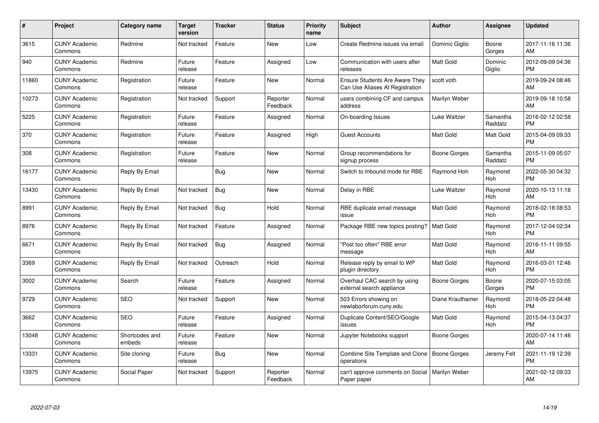| $\#$  | Project                         | <b>Category name</b>     | <b>Target</b><br>version | <b>Tracker</b> | <b>Status</b>        | Priority<br>name | <b>Subject</b>                                                    | <b>Author</b>       | <b>Assignee</b>     | <b>Updated</b>                |
|-------|---------------------------------|--------------------------|--------------------------|----------------|----------------------|------------------|-------------------------------------------------------------------|---------------------|---------------------|-------------------------------|
| 3615  | <b>CUNY Academic</b><br>Commons | Redmine                  | Not tracked              | Feature        | <b>New</b>           | Low              | Create Redmine issues via email                                   | Dominic Giglio      | Boone<br>Gorges     | 2017-11-16 11:36<br>AM        |
| 940   | <b>CUNY Academic</b><br>Commons | Redmine                  | Future<br>release        | Feature        | Assigned             | Low              | Communication with users after<br>releases                        | <b>Matt Gold</b>    | Dominic<br>Giglio   | 2012-09-09 04:36<br><b>PM</b> |
| 11860 | <b>CUNY Academic</b><br>Commons | Registration             | Future<br>release        | Feature        | <b>New</b>           | Normal           | Ensure Students Are Aware They<br>Can Use Aliases At Registration | scott voth          |                     | 2019-09-24 08:46<br>AM        |
| 10273 | <b>CUNY Academic</b><br>Commons | Registration             | Not tracked              | Support        | Reporter<br>Feedback | Normal           | users combining CF and campus<br>address                          | Marilyn Weber       |                     | 2019-09-18 10:58<br>AM        |
| 5225  | <b>CUNY Academic</b><br>Commons | Registration             | Future<br>release        | Feature        | Assigned             | Normal           | On-boarding Issues                                                | Luke Waltzer        | Samantha<br>Raddatz | 2016-02-12 02:58<br><b>PM</b> |
| 370   | <b>CUNY Academic</b><br>Commons | Registration             | Future<br>release        | Feature        | Assigned             | High             | <b>Guest Accounts</b>                                             | <b>Matt Gold</b>    | Matt Gold           | 2015-04-09 09:33<br><b>PM</b> |
| 308   | <b>CUNY Academic</b><br>Commons | Registration             | Future<br>release        | Feature        | <b>New</b>           | Normal           | Group recommendations for<br>signup process                       | Boone Gorges        | Samantha<br>Raddatz | 2015-11-09 05:07<br><b>PM</b> |
| 16177 | <b>CUNY Academic</b><br>Commons | Reply By Email           |                          | Bug            | New                  | Normal           | Switch to Inbound mode for RBE                                    | Raymond Hoh         | Raymond<br>Hoh      | 2022-05-30 04:32<br><b>PM</b> |
| 13430 | <b>CUNY Academic</b><br>Commons | Reply By Email           | Not tracked              | <b>Bug</b>     | <b>New</b>           | Normal           | Delay in RBE                                                      | Luke Waltzer        | Raymond<br>Hoh      | 2020-10-13 11:16<br>AM        |
| 8991  | <b>CUNY Academic</b><br>Commons | Reply By Email           | Not tracked              | Bug            | Hold                 | Normal           | RBE duplicate email message<br>issue                              | <b>Matt Gold</b>    | Raymond<br>Hoh      | 2018-02-18 08:53<br><b>PM</b> |
| 8976  | <b>CUNY Academic</b><br>Commons | Reply By Email           | Not tracked              | Feature        | Assigned             | Normal           | Package RBE new topics posting?                                   | <b>Matt Gold</b>    | Raymond<br>Hoh      | 2017-12-04 02:34<br><b>PM</b> |
| 6671  | <b>CUNY Academic</b><br>Commons | Reply By Email           | Not tracked              | Bug            | Assigned             | Normal           | "Post too often" RBE error<br>message                             | Matt Gold           | Raymond<br>Hoh      | 2016-11-11 09:55<br>AM        |
| 3369  | <b>CUNY Academic</b><br>Commons | Reply By Email           | Not tracked              | Outreach       | Hold                 | Normal           | Release reply by email to WP<br>plugin directory                  | Matt Gold           | Raymond<br>Hoh      | 2016-03-01 12:46<br><b>PM</b> |
| 3002  | <b>CUNY Academic</b><br>Commons | Search                   | Future<br>release        | Feature        | Assigned             | Normal           | Overhaul CAC search by using<br>external search appliance         | <b>Boone Gorges</b> | Boone<br>Gorges     | 2020-07-15 03:05<br><b>PM</b> |
| 9729  | <b>CUNY Academic</b><br>Commons | <b>SEO</b>               | Not tracked              | Support        | New                  | Normal           | 503 Errors showing on<br>newlaborforum.cuny.edu                   | Diane Krauthamer    | Raymond<br>Hoh      | 2018-05-22 04:48<br><b>PM</b> |
| 3662  | <b>CUNY Academic</b><br>Commons | <b>SEO</b>               | Future<br>release        | Feature        | Assigned             | Normal           | Duplicate Content/SEO/Google<br>issues                            | Matt Gold           | Raymond<br>Hoh      | 2015-04-13 04:37<br><b>PM</b> |
| 13048 | <b>CUNY Academic</b><br>Commons | Shortcodes and<br>embeds | Future<br>release        | Feature        | New                  | Normal           | Jupyter Notebooks support                                         | Boone Gorges        |                     | 2020-07-14 11:46<br>AM        |
| 13331 | <b>CUNY Academic</b><br>Commons | Site cloning             | Future<br>release        | Bug            | New                  | Normal           | Combine Site Template and Clone<br>operations                     | Boone Gorges        | Jeremy Felt         | 2021-11-19 12:39<br><b>PM</b> |
| 13975 | <b>CUNY Academic</b><br>Commons | Social Paper             | Not tracked              | Support        | Reporter<br>Feedback | Normal           | can't approve comments on Social<br>Paper paper                   | Marilyn Weber       |                     | 2021-02-12 09:33<br>AM        |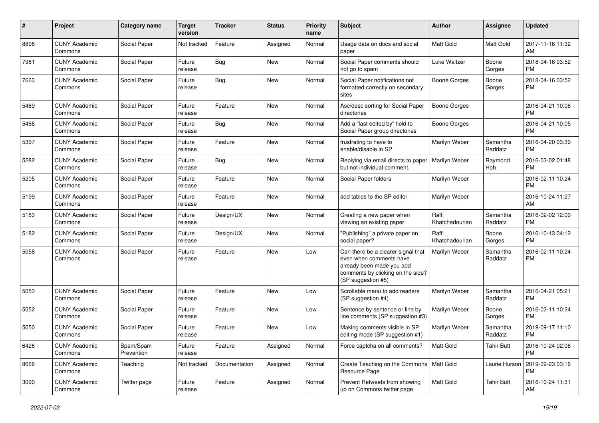| #    | Project                         | <b>Category name</b>    | <b>Target</b><br>version | <b>Tracker</b> | <b>Status</b> | Priority<br>name | <b>Subject</b>                                                                                                                                        | Author                  | <b>Assignee</b>     | <b>Updated</b>                |
|------|---------------------------------|-------------------------|--------------------------|----------------|---------------|------------------|-------------------------------------------------------------------------------------------------------------------------------------------------------|-------------------------|---------------------|-------------------------------|
| 8898 | <b>CUNY Academic</b><br>Commons | Social Paper            | Not tracked              | Feature        | Assigned      | Normal           | Usage data on docs and social<br>paper                                                                                                                | <b>Matt Gold</b>        | Matt Gold           | 2017-11-16 11:32<br>AM        |
| 7981 | <b>CUNY Academic</b><br>Commons | Social Paper            | Future<br>release        | <b>Bug</b>     | New           | Normal           | Social Paper comments should<br>not go to spam                                                                                                        | Luke Waltzer            | Boone<br>Gorges     | 2018-04-16 03:52<br><b>PM</b> |
| 7663 | <b>CUNY Academic</b><br>Commons | Social Paper            | Future<br>release        | Bug            | <b>New</b>    | Normal           | Social Paper notifications not<br>formatted correctly on secondary<br>sites                                                                           | <b>Boone Gorges</b>     | Boone<br>Gorges     | 2018-04-16 03:52<br><b>PM</b> |
| 5489 | <b>CUNY Academic</b><br>Commons | Social Paper            | Future<br>release        | Feature        | <b>New</b>    | Normal           | Asc/desc sorting for Social Paper<br>directories                                                                                                      | <b>Boone Gorges</b>     |                     | 2016-04-21 10:06<br><b>PM</b> |
| 5488 | <b>CUNY Academic</b><br>Commons | Social Paper            | Future<br>release        | Bug            | <b>New</b>    | Normal           | Add a "last edited by" field to<br>Social Paper group directories                                                                                     | <b>Boone Gorges</b>     |                     | 2016-04-21 10:05<br><b>PM</b> |
| 5397 | <b>CUNY Academic</b><br>Commons | Social Paper            | Future<br>release        | Feature        | <b>New</b>    | Normal           | frustrating to have to<br>enable/disable in SP                                                                                                        | Marilyn Weber           | Samantha<br>Raddatz | 2016-04-20 03:39<br><b>PM</b> |
| 5282 | <b>CUNY Academic</b><br>Commons | Social Paper            | Future<br>release        | Bug            | New           | Normal           | Replying via email directs to paper<br>but not individual comment.                                                                                    | Marilyn Weber           | Raymond<br>Hoh      | 2016-03-02 01:48<br><b>PM</b> |
| 5205 | <b>CUNY Academic</b><br>Commons | Social Paper            | Future<br>release        | Feature        | New           | Normal           | Social Paper folders                                                                                                                                  | Marilyn Weber           |                     | 2016-02-11 10:24<br><b>PM</b> |
| 5199 | <b>CUNY Academic</b><br>Commons | Social Paper            | Future<br>release        | Feature        | <b>New</b>    | Normal           | add tables to the SP editor                                                                                                                           | Marilyn Weber           |                     | 2016-10-24 11:27<br>AM        |
| 5183 | <b>CUNY Academic</b><br>Commons | Social Paper            | Future<br>release        | Design/UX      | New           | Normal           | Creating a new paper when<br>viewing an existing paper                                                                                                | Raffi<br>Khatchadourian | Samantha<br>Raddatz | 2016-02-02 12:09<br><b>PM</b> |
| 5182 | <b>CUNY Academic</b><br>Commons | Social Paper            | Future<br>release        | Design/UX      | <b>New</b>    | Normal           | "Publishing" a private paper on<br>social paper?                                                                                                      | Raffi<br>Khatchadourian | Boone<br>Gorges     | 2016-10-13 04:12<br><b>PM</b> |
| 5058 | <b>CUNY Academic</b><br>Commons | Social Paper            | Future<br>release        | Feature        | New           | Low              | Can there be a clearer signal that<br>even when comments have<br>already been made you add<br>comments by clicking on the side?<br>(SP suggestion #5) | Marilyn Weber           | Samantha<br>Raddatz | 2016-02-11 10:24<br><b>PM</b> |
| 5053 | <b>CUNY Academic</b><br>Commons | Social Paper            | Future<br>release        | Feature        | <b>New</b>    | Low              | Scrollable menu to add readers<br>(SP suggestion #4)                                                                                                  | Marilyn Weber           | Samantha<br>Raddatz | 2016-04-21 05:21<br><b>PM</b> |
| 5052 | <b>CUNY Academic</b><br>Commons | Social Paper            | Future<br>release        | Feature        | New           | Low              | Sentence by sentence or line by<br>line comments (SP suggestion #3)                                                                                   | Marilyn Weber           | Boone<br>Gorges     | 2016-02-11 10:24<br><b>PM</b> |
| 5050 | <b>CUNY Academic</b><br>Commons | Social Paper            | Future<br>release        | Feature        | <b>New</b>    | Low              | Making comments visible in SP<br>editing mode (SP suggestion #1)                                                                                      | Marilyn Weber           | Samantha<br>Raddatz | 2019-09-17 11:10<br><b>PM</b> |
| 6426 | <b>CUNY Academic</b><br>Commons | Spam/Spam<br>Prevention | Future<br>release        | Feature        | Assigned      | Normal           | Force captcha on all comments?                                                                                                                        | <b>Matt Gold</b>        | <b>Tahir Butt</b>   | 2016-10-24 02:06<br><b>PM</b> |
| 8666 | <b>CUNY Academic</b><br>Commons | Teaching                | Not tracked              | Documentation  | Assigned      | Normal           | Create Teaching on the Commons   Matt Gold<br>Resource Page                                                                                           |                         | Laurie Hurson       | 2019-09-23 03:16<br><b>PM</b> |
| 3090 | <b>CUNY Academic</b><br>Commons | Twitter page            | Future<br>release        | Feature        | Assigned      | Normal           | Prevent Retweets from showing<br>up on Commons twitter page                                                                                           | Matt Gold               | <b>Tahir Butt</b>   | 2016-10-24 11:31<br>AM        |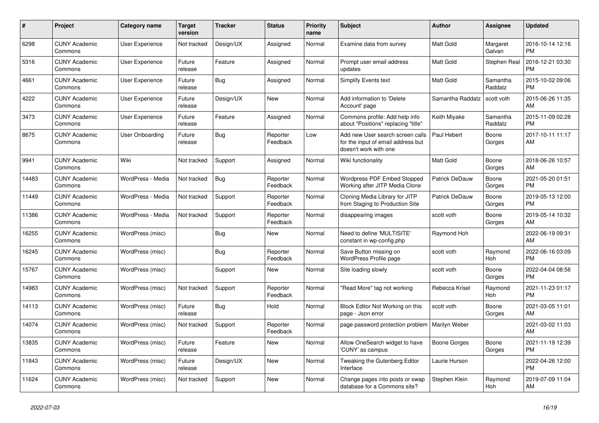| #     | Project                         | <b>Category name</b>   | <b>Target</b><br>version | <b>Tracker</b> | <b>Status</b>        | <b>Priority</b><br>name | <b>Subject</b>                                                                                  | <b>Author</b>        | Assignee            | <b>Updated</b>                |
|-------|---------------------------------|------------------------|--------------------------|----------------|----------------------|-------------------------|-------------------------------------------------------------------------------------------------|----------------------|---------------------|-------------------------------|
| 6298  | <b>CUNY Academic</b><br>Commons | <b>User Experience</b> | Not tracked              | Design/UX      | Assigned             | Normal                  | Examine data from survey                                                                        | <b>Matt Gold</b>     | Margaret<br>Galvan  | 2016-10-14 12:16<br><b>PM</b> |
| 5316  | <b>CUNY Academic</b><br>Commons | User Experience        | Future<br>release        | Feature        | Assigned             | Normal                  | Prompt user email address<br>updates                                                            | <b>Matt Gold</b>     | Stephen Real        | 2016-12-21 03:30<br><b>PM</b> |
| 4661  | <b>CUNY Academic</b><br>Commons | User Experience        | Future<br>release        | <b>Bug</b>     | Assigned             | Normal                  | Simplify Events text                                                                            | <b>Matt Gold</b>     | Samantha<br>Raddatz | 2015-10-02 09:06<br><b>PM</b> |
| 4222  | <b>CUNY Academic</b><br>Commons | User Experience        | Future<br>release        | Design/UX      | <b>New</b>           | Normal                  | Add information to 'Delete<br>Account' page                                                     | Samantha Raddatz     | scott voth          | 2015-06-26 11:35<br>AM        |
| 3473  | <b>CUNY Academic</b><br>Commons | <b>User Experience</b> | Future<br>release        | Feature        | Assigned             | Normal                  | Commons profile: Add help info<br>about "Positions" replacing "title"                           | Keith Miyake         | Samantha<br>Raddatz | 2015-11-09 02:28<br><b>PM</b> |
| 8675  | <b>CUNY Academic</b><br>Commons | User Onboarding        | Future<br>release        | Bug            | Reporter<br>Feedback | Low                     | Add new User search screen calls<br>for the input of email address but<br>doesn't work with one | Paul Hebert          | Boone<br>Gorges     | 2017-10-11 11:17<br>AM        |
| 9941  | <b>CUNY Academic</b><br>Commons | Wiki                   | Not tracked              | Support        | Assigned             | Normal                  | Wiki functionality                                                                              | Matt Gold            | Boone<br>Gorges     | 2018-06-26 10:57<br>AM        |
| 14483 | <b>CUNY Academic</b><br>Commons | WordPress - Media      | Not tracked              | <b>Bug</b>     | Reporter<br>Feedback | Normal                  | Wordpress PDF Embed Stopped<br>Working after JITP Media Clone                                   | Patrick DeDauw       | Boone<br>Gorges     | 2021-05-20 01:51<br><b>PM</b> |
| 11449 | <b>CUNY Academic</b><br>Commons | WordPress - Media      | Not tracked              | Support        | Reporter<br>Feedback | Normal                  | Cloning Media Library for JITP<br>from Staging to Production Site                               | Patrick DeDauw       | Boone<br>Gorges     | 2019-05-13 12:00<br><b>PM</b> |
| 11386 | <b>CUNY Academic</b><br>Commons | WordPress - Media      | Not tracked              | Support        | Reporter<br>Feedback | Normal                  | disappearing images                                                                             | scott voth           | Boone<br>Gorges     | 2019-05-14 10:32<br>AM        |
| 16255 | <b>CUNY Academic</b><br>Commons | WordPress (misc)       |                          | Bug            | New                  | Normal                  | Need to define 'MULTISITE'<br>constant in wp-config.php                                         | Raymond Hoh          |                     | 2022-06-19 09:31<br>AM        |
| 16245 | <b>CUNY Academic</b><br>Commons | WordPress (misc)       |                          | Bug            | Reporter<br>Feedback | Normal                  | Save Button missing on<br><b>WordPress Profile page</b>                                         | scott voth           | Raymond<br>Hoh      | 2022-06-16 03:09<br><b>PM</b> |
| 15767 | <b>CUNY Academic</b><br>Commons | WordPress (misc)       |                          | Support        | New                  | Normal                  | Site loading slowly                                                                             | scott voth           | Boone<br>Gorges     | 2022-04-04 08:56<br><b>PM</b> |
| 14983 | <b>CUNY Academic</b><br>Commons | WordPress (misc)       | Not tracked              | Support        | Reporter<br>Feedback | Normal                  | "Read More" tag not working                                                                     | Rebecca Krisel       | Raymond<br>Hoh      | 2021-11-23 01:17<br><b>PM</b> |
| 14113 | <b>CUNY Academic</b><br>Commons | WordPress (misc)       | Future<br>release        | Bug            | Hold                 | Normal                  | Block Editor Not Working on this<br>page - Json error                                           | scott voth           | Boone<br>Gorges     | 2021-03-05 11:01<br>AM        |
| 14074 | <b>CUNY Academic</b><br>Commons | WordPress (misc)       | Not tracked              | Support        | Reporter<br>Feedback | Normal                  | page password protection problem                                                                | <b>Marilyn Weber</b> |                     | 2021-03-02 11:03<br>AM        |
| 13835 | <b>CUNY Academic</b><br>Commons | WordPress (misc)       | Future<br>release        | Feature        | New                  | Normal                  | Allow OneSearch widget to have<br>'CUNY' as campus                                              | Boone Gorges         | Boone<br>Gorges     | 2021-11-19 12:39<br><b>PM</b> |
| 11843 | <b>CUNY Academic</b><br>Commons | WordPress (misc)       | Future<br>release        | Design/UX      | <b>New</b>           | Normal                  | Tweaking the Gutenberg Editor<br>Interface                                                      | Laurie Hurson        |                     | 2022-04-26 12:00<br><b>PM</b> |
| 11624 | <b>CUNY Academic</b><br>Commons | WordPress (misc)       | Not tracked              | Support        | <b>New</b>           | Normal                  | Change pages into posts or swap<br>database for a Commons site?                                 | Stephen Klein        | Raymond<br>Hoh      | 2019-07-09 11:04<br>AM        |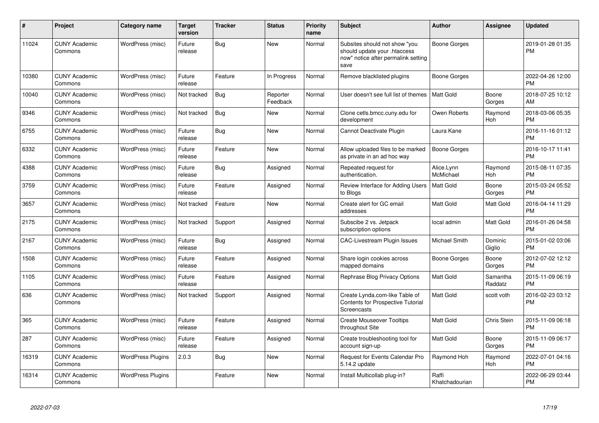| $\pmb{\#}$ | Project                         | <b>Category name</b>     | <b>Target</b><br>version | <b>Tracker</b> | <b>Status</b>        | <b>Priority</b><br>name | <b>Subject</b>                                                                                               | <b>Author</b>           | <b>Assignee</b>     | <b>Updated</b>                |
|------------|---------------------------------|--------------------------|--------------------------|----------------|----------------------|-------------------------|--------------------------------------------------------------------------------------------------------------|-------------------------|---------------------|-------------------------------|
| 11024      | <b>CUNY Academic</b><br>Commons | WordPress (misc)         | Future<br>release        | Bug            | <b>New</b>           | Normal                  | Subsites should not show "you<br>should update your .htaccess<br>now" notice after permalink setting<br>save | Boone Gorges            |                     | 2019-01-28 01:35<br><b>PM</b> |
| 10380      | <b>CUNY Academic</b><br>Commons | WordPress (misc)         | Future<br>release        | Feature        | In Progress          | Normal                  | Remove blacklisted plugins                                                                                   | Boone Gorges            |                     | 2022-04-26 12:00<br><b>PM</b> |
| 10040      | <b>CUNY Academic</b><br>Commons | WordPress (misc)         | Not tracked              | Bug            | Reporter<br>Feedback | Normal                  | User doesn't see full list of themes                                                                         | <b>Matt Gold</b>        | Boone<br>Gorges     | 2018-07-25 10:12<br>AM        |
| 9346       | <b>CUNY Academic</b><br>Commons | WordPress (misc)         | Not tracked              | <b>Bug</b>     | <b>New</b>           | Normal                  | Clone cetls.bmcc.cuny.edu for<br>development                                                                 | Owen Roberts            | Raymond<br>Hoh      | 2018-03-06 05:35<br><b>PM</b> |
| 6755       | <b>CUNY Academic</b><br>Commons | WordPress (misc)         | Future<br>release        | Bug            | <b>New</b>           | Normal                  | Cannot Deactivate Plugin                                                                                     | Laura Kane              |                     | 2016-11-16 01:12<br><b>PM</b> |
| 6332       | <b>CUNY Academic</b><br>Commons | WordPress (misc)         | Future<br>release        | Feature        | <b>New</b>           | Normal                  | Allow uploaded files to be marked<br>as private in an ad hoc way                                             | <b>Boone Gorges</b>     |                     | 2016-10-17 11:41<br><b>PM</b> |
| 4388       | <b>CUNY Academic</b><br>Commons | WordPress (misc)         | Future<br>release        | Bug            | Assigned             | Normal                  | Repeated request for<br>authentication.                                                                      | Alice.Lynn<br>McMichael | Raymond<br>Hoh      | 2015-08-11 07:35<br><b>PM</b> |
| 3759       | <b>CUNY Academic</b><br>Commons | WordPress (misc)         | Future<br>release        | Feature        | Assigned             | Normal                  | Review Interface for Adding Users<br>to Blogs                                                                | Matt Gold               | Boone<br>Gorges     | 2015-03-24 05:52<br><b>PM</b> |
| 3657       | <b>CUNY Academic</b><br>Commons | WordPress (misc)         | Not tracked              | Feature        | <b>New</b>           | Normal                  | Create alert for GC email<br>addresses                                                                       | Matt Gold               | Matt Gold           | 2016-04-14 11:29<br><b>PM</b> |
| 2175       | <b>CUNY Academic</b><br>Commons | WordPress (misc)         | Not tracked              | Support        | Assigned             | Normal                  | Subscibe 2 vs. Jetpack<br>subscription options                                                               | local admin             | Matt Gold           | 2016-01-26 04:58<br><b>PM</b> |
| 2167       | <b>CUNY Academic</b><br>Commons | WordPress (misc)         | Future<br>release        | Bug            | Assigned             | Normal                  | <b>CAC-Livestream Plugin Issues</b>                                                                          | Michael Smith           | Dominic<br>Giglio   | 2015-01-02 03:06<br><b>PM</b> |
| 1508       | <b>CUNY Academic</b><br>Commons | WordPress (misc)         | Future<br>release        | Feature        | Assigned             | Normal                  | Share login cookies across<br>mapped domains                                                                 | Boone Gorges            | Boone<br>Gorges     | 2012-07-02 12:12<br><b>PM</b> |
| 1105       | <b>CUNY Academic</b><br>Commons | WordPress (misc)         | Future<br>release        | Feature        | Assigned             | Normal                  | Rephrase Blog Privacy Options                                                                                | <b>Matt Gold</b>        | Samantha<br>Raddatz | 2015-11-09 06:19<br><b>PM</b> |
| 636        | <b>CUNY Academic</b><br>Commons | WordPress (misc)         | Not tracked              | Support        | Assigned             | Normal                  | Create Lynda.com-like Table of<br><b>Contents for Prospective Tutorial</b><br>Screencasts                    | Matt Gold               | scott voth          | 2016-02-23 03:12<br><b>PM</b> |
| 365        | <b>CUNY Academic</b><br>Commons | WordPress (misc)         | Future<br>release        | Feature        | Assigned             | Normal                  | <b>Create Mouseover Tooltips</b><br>throughout Site                                                          | Matt Gold               | Chris Stein         | 2015-11-09 06:18<br><b>PM</b> |
| 287        | <b>CUNY Academic</b><br>Commons | WordPress (misc)         | Future<br>release        | Feature        | Assigned             | Normal                  | Create troubleshooting tool for<br>account sign-up                                                           | Matt Gold               | Boone<br>Gorges     | 2015-11-09 06:17<br><b>PM</b> |
| 16319      | <b>CUNY Academic</b><br>Commons | <b>WordPress Plugins</b> | 2.0.3                    | <b>Bug</b>     | <b>New</b>           | Normal                  | Request for Events Calendar Pro<br>5.14.2 update                                                             | Raymond Hoh             | Raymond<br>Hoh      | 2022-07-01 04:16<br><b>PM</b> |
| 16314      | <b>CUNY Academic</b><br>Commons | <b>WordPress Plugins</b> |                          | Feature        | <b>New</b>           | Normal                  | Install Multicollab plug-in?                                                                                 | Raffi<br>Khatchadourian |                     | 2022-06-29 03:44<br>PM        |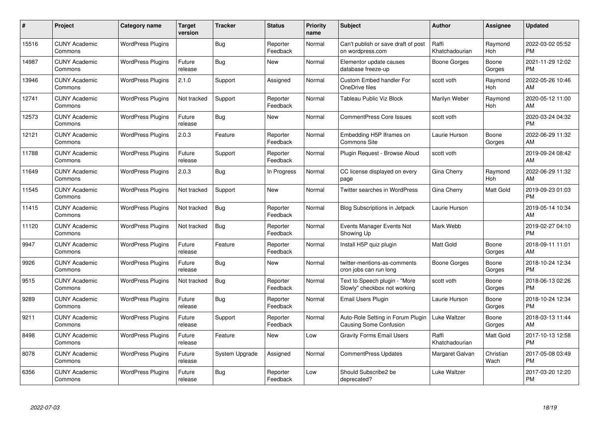| #     | Project                         | <b>Category name</b>     | <b>Target</b><br>version | <b>Tracker</b> | <b>Status</b>        | Priority<br>name | <b>Subject</b>                                                | <b>Author</b>           | <b>Assignee</b>   | <b>Updated</b>                |
|-------|---------------------------------|--------------------------|--------------------------|----------------|----------------------|------------------|---------------------------------------------------------------|-------------------------|-------------------|-------------------------------|
| 15516 | <b>CUNY Academic</b><br>Commons | <b>WordPress Plugins</b> |                          | Bug            | Reporter<br>Feedback | Normal           | Can't publish or save draft of post<br>on wordpress.com       | Raffi<br>Khatchadourian | Raymond<br>Hoh    | 2022-03-02 05:52<br><b>PM</b> |
| 14987 | <b>CUNY Academic</b><br>Commons | <b>WordPress Plugins</b> | Future<br>release        | Bug            | <b>New</b>           | Normal           | Elementor update causes<br>database freeze-up                 | Boone Gorges            | Boone<br>Gorges   | 2021-11-29 12:02<br><b>PM</b> |
| 13946 | <b>CUNY Academic</b><br>Commons | <b>WordPress Plugins</b> | 2.1.0                    | Support        | Assigned             | Normal           | <b>Custom Embed handler For</b><br>OneDrive files             | scott voth              | Raymond<br>Hoh    | 2022-05-26 10:46<br>AM        |
| 12741 | <b>CUNY Academic</b><br>Commons | <b>WordPress Plugins</b> | Not tracked              | Support        | Reporter<br>Feedback | Normal           | Tableau Public Viz Block                                      | Marilyn Weber           | Raymond<br>Hoh    | 2020-05-12 11:00<br>AM        |
| 12573 | <b>CUNY Academic</b><br>Commons | <b>WordPress Plugins</b> | Future<br>release        | Bug            | New                  | Normal           | <b>CommentPress Core Issues</b>                               | scott voth              |                   | 2020-03-24 04:32<br><b>PM</b> |
| 12121 | <b>CUNY Academic</b><br>Commons | <b>WordPress Plugins</b> | 2.0.3                    | Feature        | Reporter<br>Feedback | Normal           | Embedding H5P Iframes on<br><b>Commons Site</b>               | Laurie Hurson           | Boone<br>Gorges   | 2022-06-29 11:32<br>AM        |
| 11788 | <b>CUNY Academic</b><br>Commons | <b>WordPress Plugins</b> | Future<br>release        | Support        | Reporter<br>Feedback | Normal           | Plugin Request - Browse Aloud                                 | scott voth              |                   | 2019-09-24 08:42<br>AM        |
| 11649 | <b>CUNY Academic</b><br>Commons | <b>WordPress Plugins</b> | 2.0.3                    | Bug            | In Progress          | Normal           | CC license displayed on every<br>page                         | Gina Cherry             | Raymond<br>Hoh    | 2022-06-29 11:32<br>AM        |
| 11545 | <b>CUNY Academic</b><br>Commons | <b>WordPress Plugins</b> | Not tracked              | Support        | <b>New</b>           | Normal           | <b>Twitter searches in WordPress</b>                          | Gina Cherry             | Matt Gold         | 2019-09-23 01:03<br><b>PM</b> |
| 11415 | <b>CUNY Academic</b><br>Commons | <b>WordPress Plugins</b> | Not tracked              | Bug            | Reporter<br>Feedback | Normal           | <b>Blog Subscriptions in Jetpack</b>                          | Laurie Hurson           |                   | 2019-05-14 10:34<br>AM        |
| 11120 | <b>CUNY Academic</b><br>Commons | <b>WordPress Plugins</b> | Not tracked              | Bug            | Reporter<br>Feedback | Normal           | Events Manager Events Not<br>Showing Up                       | Mark Webb               |                   | 2019-02-27 04:10<br><b>PM</b> |
| 9947  | <b>CUNY Academic</b><br>Commons | <b>WordPress Plugins</b> | Future<br>release        | Feature        | Reporter<br>Feedback | Normal           | Install H5P quiz plugin                                       | Matt Gold               | Boone<br>Gorges   | 2018-09-11 11:01<br>AM        |
| 9926  | <b>CUNY Academic</b><br>Commons | <b>WordPress Plugins</b> | Future<br>release        | Bug            | New                  | Normal           | twitter-mentions-as-comments<br>cron jobs can run long        | Boone Gorges            | Boone<br>Gorges   | 2018-10-24 12:34<br><b>PM</b> |
| 9515  | <b>CUNY Academic</b><br>Commons | <b>WordPress Plugins</b> | Not tracked              | Bug            | Reporter<br>Feedback | Normal           | Text to Speech plugin - "More<br>Slowly" checkbox not working | scott voth              | Boone<br>Gorges   | 2018-06-13 02:26<br><b>PM</b> |
| 9289  | <b>CUNY Academic</b><br>Commons | <b>WordPress Plugins</b> | Future<br>release        | Bug            | Reporter<br>Feedback | Normal           | Email Users Plugin                                            | Laurie Hurson           | Boone<br>Gorges   | 2018-10-24 12:34<br><b>PM</b> |
| 9211  | <b>CUNY Academic</b><br>Commons | <b>WordPress Plugins</b> | Future<br>release        | Support        | Reporter<br>Feedback | Normal           | Auto-Role Setting in Forum Plugin<br>Causing Some Confusion   | Luke Waltzer            | Boone<br>Gorges   | 2018-03-13 11:44<br>AM        |
| 8498  | <b>CUNY Academic</b><br>Commons | <b>WordPress Plugins</b> | Future<br>release        | Feature        | New                  | Low              | <b>Gravity Forms Email Users</b>                              | Raffi<br>Khatchadourian | Matt Gold         | 2017-10-13 12:58<br><b>PM</b> |
| 8078  | <b>CUNY Academic</b><br>Commons | <b>WordPress Plugins</b> | Future<br>release        | System Upgrade | Assigned             | Normal           | <b>CommentPress Updates</b>                                   | Margaret Galvan         | Christian<br>Wach | 2017-05-08 03:49<br><b>PM</b> |
| 6356  | CUNY Academic<br>Commons        | <b>WordPress Plugins</b> | Future<br>release        | Bug            | Reporter<br>Feedback | Low              | Should Subscribe2 be<br>deprecated?                           | Luke Waltzer            |                   | 2017-03-20 12:20<br><b>PM</b> |